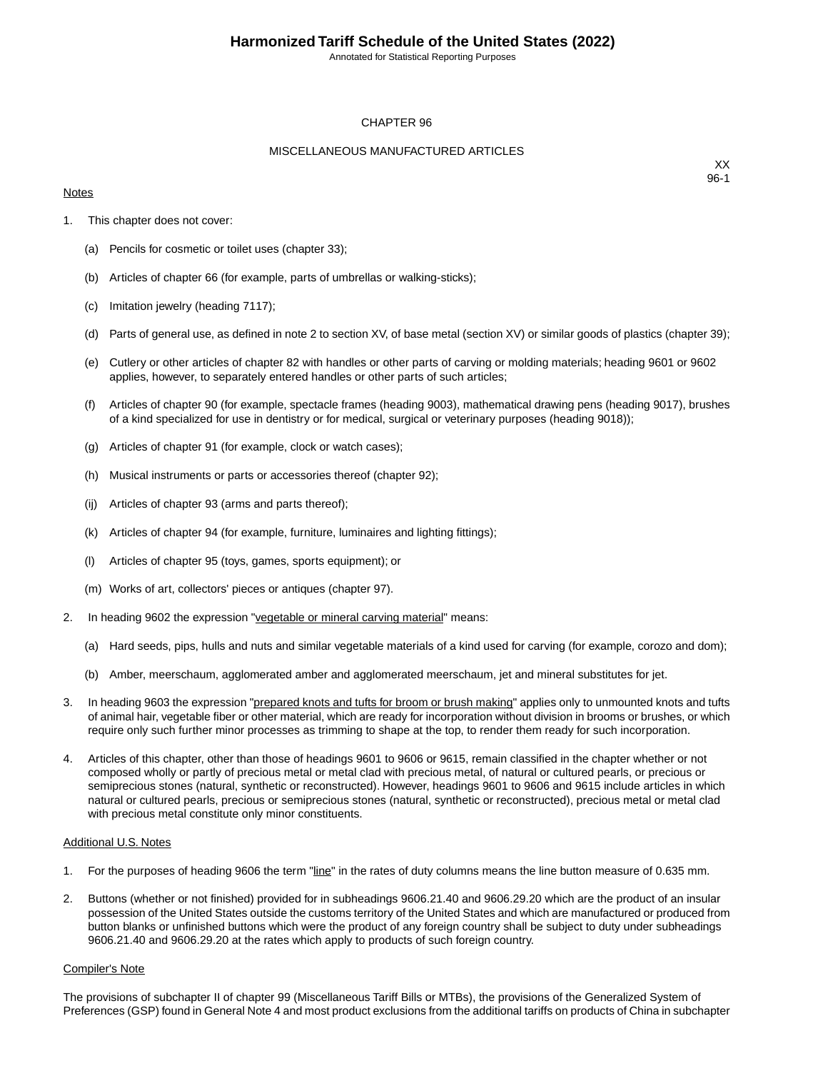Annotated for Statistical Reporting Purposes

#### CHAPTER 96

#### MISCELLANEOUS MANUFACTURED ARTICLES

#### **Notes**

XX 96-1

- 1. This chapter does not cover:
	- (a) Pencils for cosmetic or toilet uses (chapter 33);
	- (b) Articles of chapter 66 (for example, parts of umbrellas or walking-sticks);
	- (c) Imitation jewelry (heading 7117);
	- (d) Parts of general use, as defined in note 2 to section XV, of base metal (section XV) or similar goods of plastics (chapter 39);
	- (e) Cutlery or other articles of chapter 82 with handles or other parts of carving or molding materials; heading 9601 or 9602 applies, however, to separately entered handles or other parts of such articles;
	- (f) Articles of chapter 90 (for example, spectacle frames (heading 9003), mathematical drawing pens (heading 9017), brushes of a kind specialized for use in dentistry or for medical, surgical or veterinary purposes (heading 9018));
	- (g) Articles of chapter 91 (for example, clock or watch cases);
	- (h) Musical instruments or parts or accessories thereof (chapter 92);
	- (ij) Articles of chapter 93 (arms and parts thereof);
	- (k) Articles of chapter 94 (for example, furniture, luminaires and lighting fittings);
	- (l) Articles of chapter 95 (toys, games, sports equipment); or
	- (m) Works of art, collectors' pieces or antiques (chapter 97).
- 2. In heading 9602 the expression "vegetable or mineral carving material" means:
	- (a) Hard seeds, pips, hulls and nuts and similar vegetable materials of a kind used for carving (for example, corozo and dom);
	- (b) Amber, meerschaum, agglomerated amber and agglomerated meerschaum, jet and mineral substitutes for jet.
- 3. In heading 9603 the expression "prepared knots and tufts for broom or brush making" applies only to unmounted knots and tufts of animal hair, vegetable fiber or other material, which are ready for incorporation without division in brooms or brushes, or which require only such further minor processes as trimming to shape at the top, to render them ready for such incorporation.
- 4. Articles of this chapter, other than those of headings 9601 to 9606 or 9615, remain classified in the chapter whether or not composed wholly or partly of precious metal or metal clad with precious metal, of natural or cultured pearls, or precious or semiprecious stones (natural, synthetic or reconstructed). However, headings 9601 to 9606 and 9615 include articles in which natural or cultured pearls, precious or semiprecious stones (natural, synthetic or reconstructed), precious metal or metal clad with precious metal constitute only minor constituents.

#### Additional U.S. Notes

- 1. For the purposes of heading 9606 the term "line" in the rates of duty columns means the line button measure of 0.635 mm.
- 2. Buttons (whether or not finished) provided for in subheadings 9606.21.40 and 9606.29.20 which are the product of an insular possession of the United States outside the customs territory of the United States and which are manufactured or produced from button blanks or unfinished buttons which were the product of any foreign country shall be subject to duty under subheadings 9606.21.40 and 9606.29.20 at the rates which apply to products of such foreign country.

#### Compiler's Note

The provisions of subchapter II of chapter 99 (Miscellaneous Tariff Bills or MTBs), the provisions of the Generalized System of Preferences (GSP) found in General Note 4 and most product exclusions from the additional tariffs on products of China in subchapter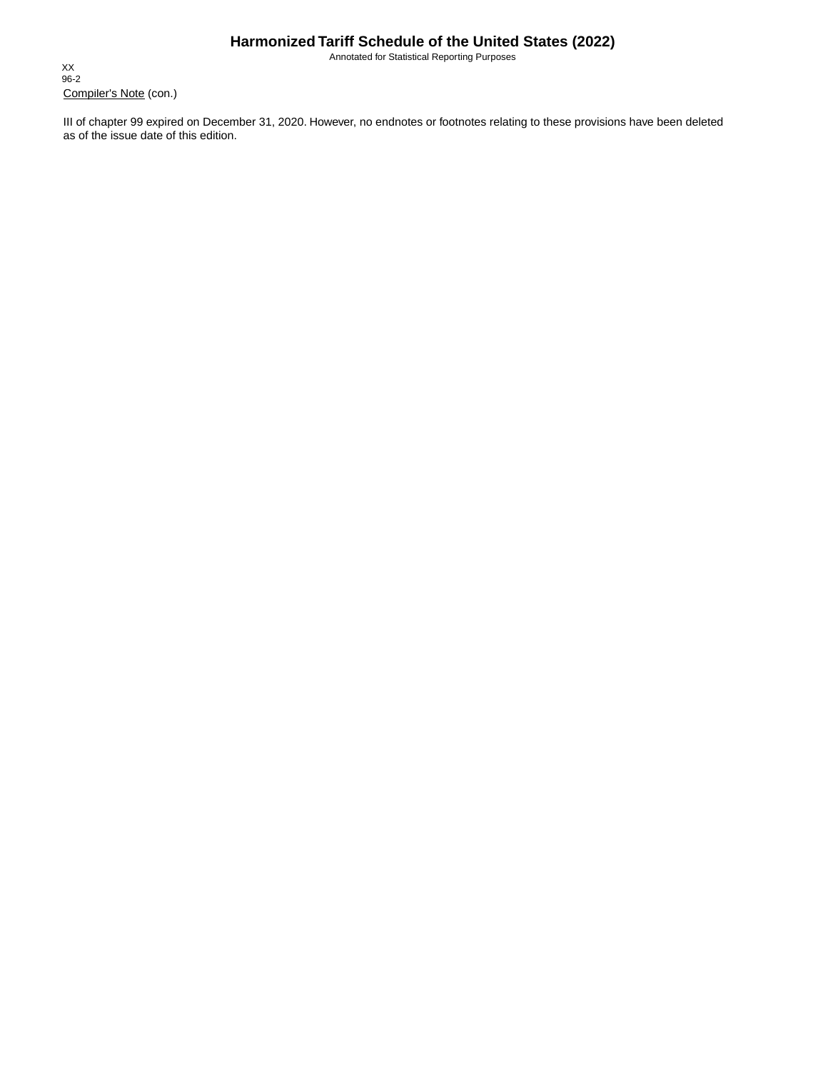Annotated for Statistical Reporting Purposes

Compiler's Note (con.) XX 96-2

III of chapter 99 expired on December 31, 2020. However, no endnotes or footnotes relating to these provisions have been deleted as of the issue date of this edition.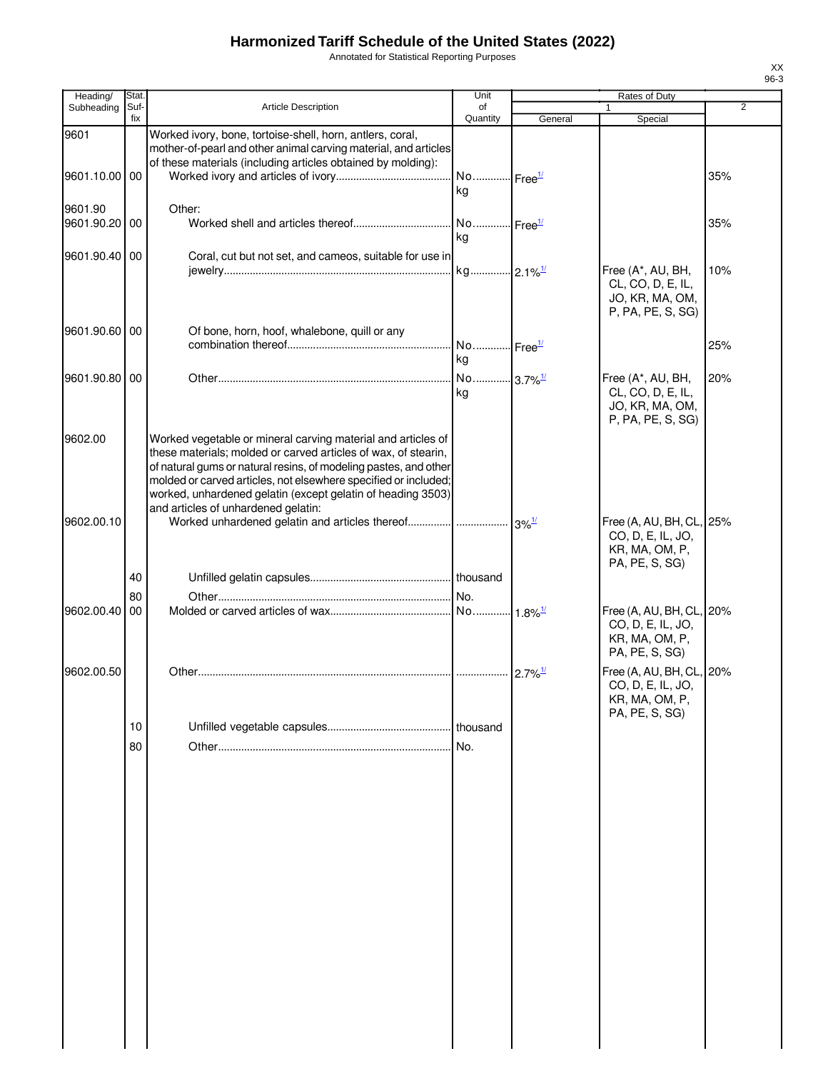Annotated for Statistical Reporting Purposes

| Heading/              | Stat.       |                                                                                                                                                                                                                                                                                                                                                                             | Unit                        |         | Rates of Duty                                                                     |                |
|-----------------------|-------------|-----------------------------------------------------------------------------------------------------------------------------------------------------------------------------------------------------------------------------------------------------------------------------------------------------------------------------------------------------------------------------|-----------------------------|---------|-----------------------------------------------------------------------------------|----------------|
| Subheading            | Suf-<br>fix | <b>Article Description</b>                                                                                                                                                                                                                                                                                                                                                  | of<br>Quantity              | General | Special                                                                           | $\overline{2}$ |
| 9601                  |             | Worked ivory, bone, tortoise-shell, horn, antlers, coral,<br>mother-of-pearl and other animal carving material, and articles<br>of these materials (including articles obtained by molding):                                                                                                                                                                                |                             |         |                                                                                   |                |
| 9601.10.00 00         |             |                                                                                                                                                                                                                                                                                                                                                                             | No Free <sup>1/</sup><br>kg |         |                                                                                   | 35%            |
| 9601.90<br>9601.90.20 | 00          | Other:                                                                                                                                                                                                                                                                                                                                                                      | No Free <sup>1/</sup><br>kg |         |                                                                                   | 35%            |
| 9601.90.40 00         |             | Coral, cut but not set, and cameos, suitable for use in                                                                                                                                                                                                                                                                                                                     | kg 2.1% <sup>1/</sup>       |         | Free (A*, AU, BH,<br>CL, CO, D, E, IL,<br>JO, KR, MA, OM,<br>P, PA, PE, S, SG)    | 10%            |
| 9601.90.60            | 00          | Of bone, horn, hoof, whalebone, quill or any                                                                                                                                                                                                                                                                                                                                | No Free <sup>1/</sup><br>kg |         |                                                                                   | 25%            |
| 9601.90.80 00         |             |                                                                                                                                                                                                                                                                                                                                                                             | No 3.7% <sup>1/</sup><br>kg |         | Free (A*, AU, BH,<br>CL, CO, D, E, IL,<br>JO, KR, MA, OM,<br>P, PA, PE, S, SG)    | 20%            |
| 9602.00               |             | Worked vegetable or mineral carving material and articles of<br>these materials; molded or carved articles of wax, of stearin,<br>of natural gums or natural resins, of modeling pastes, and other<br>molded or carved articles, not elsewhere specified or included;<br>worked, unhardened gelatin (except gelatin of heading 3503)<br>and articles of unhardened gelatin: |                             |         |                                                                                   |                |
| 9602.00.10            |             |                                                                                                                                                                                                                                                                                                                                                                             |                             |         | Free (A, AU, BH, CL, 25%<br>CO, D, E, IL, JO,<br>KR, MA, OM, P,<br>PA, PE, S, SG) |                |
|                       | 40          |                                                                                                                                                                                                                                                                                                                                                                             |                             |         |                                                                                   |                |
|                       | 80          |                                                                                                                                                                                                                                                                                                                                                                             |                             |         |                                                                                   |                |
| 9602.00.40            | 00          |                                                                                                                                                                                                                                                                                                                                                                             |                             |         | Free (A, AU, BH, CL,<br>CO, D, E, IL, JO,<br>KR, MA, OM, P,<br>PA, PE, S, SG)     | 20%            |
| 9602.00.50            |             |                                                                                                                                                                                                                                                                                                                                                                             |                             |         | Free (A, AU, BH, CL, 20%<br>CO, D, E, IL, JO,<br>KR, MA, OM, P,<br>PA, PE, S, SG) |                |
|                       | 10          |                                                                                                                                                                                                                                                                                                                                                                             | thousand                    |         |                                                                                   |                |
|                       | 80          |                                                                                                                                                                                                                                                                                                                                                                             | No.                         |         |                                                                                   |                |
|                       |             |                                                                                                                                                                                                                                                                                                                                                                             |                             |         |                                                                                   |                |
|                       |             |                                                                                                                                                                                                                                                                                                                                                                             |                             |         |                                                                                   |                |
|                       |             |                                                                                                                                                                                                                                                                                                                                                                             |                             |         |                                                                                   |                |
|                       |             |                                                                                                                                                                                                                                                                                                                                                                             |                             |         |                                                                                   |                |
|                       |             |                                                                                                                                                                                                                                                                                                                                                                             |                             |         |                                                                                   |                |
|                       |             |                                                                                                                                                                                                                                                                                                                                                                             |                             |         |                                                                                   |                |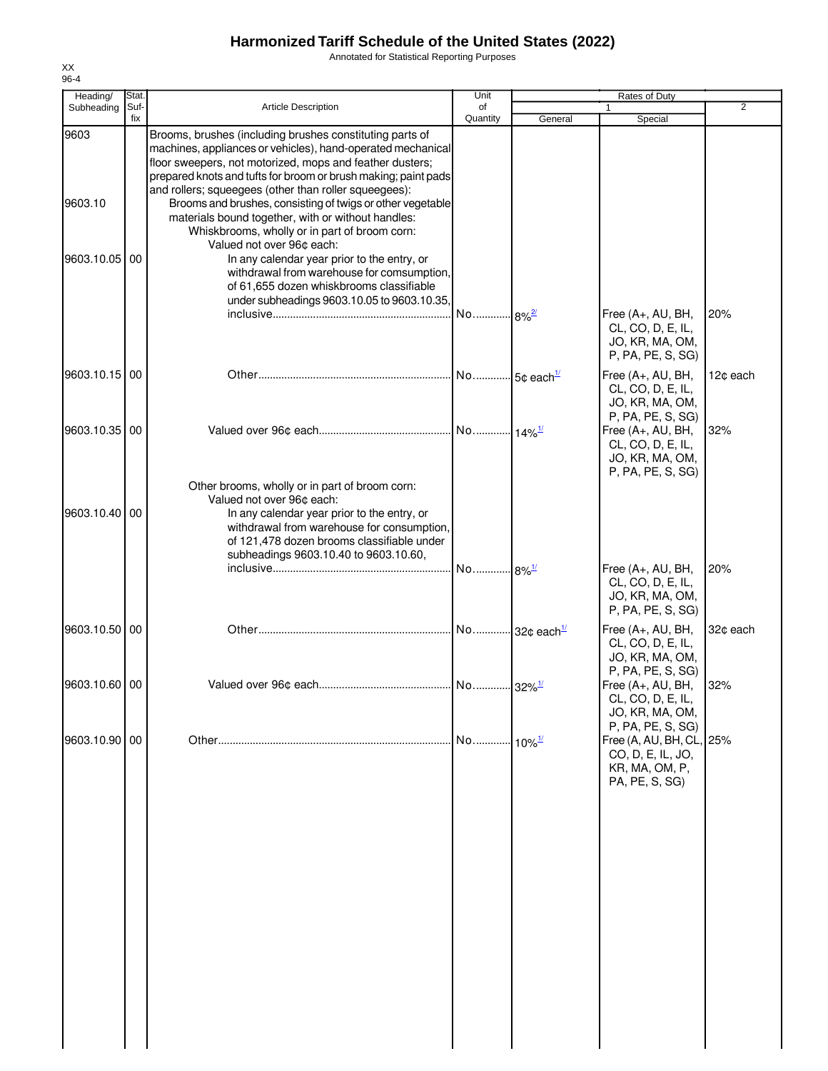Annotated for Statistical Reporting Purposes

| Heading/        | Stat.       |                                                                                                                                                                                                                                                                                                                                                                                                                                                                                                                  | Unit                     |                           | Rates of Duty                                                                                          |                |
|-----------------|-------------|------------------------------------------------------------------------------------------------------------------------------------------------------------------------------------------------------------------------------------------------------------------------------------------------------------------------------------------------------------------------------------------------------------------------------------------------------------------------------------------------------------------|--------------------------|---------------------------|--------------------------------------------------------------------------------------------------------|----------------|
| Subheading      | Suf-<br>fix | <b>Article Description</b>                                                                                                                                                                                                                                                                                                                                                                                                                                                                                       | of<br>Quantity           | General                   | Special                                                                                                | $\overline{2}$ |
| 9603<br>9603.10 |             | Brooms, brushes (including brushes constituting parts of<br>machines, appliances or vehicles), hand-operated mechanical<br>floor sweepers, not motorized, mops and feather dusters;<br>prepared knots and tufts for broom or brush making; paint pads<br>and rollers; squeegees (other than roller squeegees):<br>Brooms and brushes, consisting of twigs or other vegetable<br>materials bound together, with or without handles:<br>Whiskbrooms, wholly or in part of broom corn:<br>Valued not over 96¢ each: |                          |                           |                                                                                                        |                |
| 9603.10.05      | 00          | In any calendar year prior to the entry, or<br>withdrawal from warehouse for comsumption,<br>of 61,655 dozen whiskbrooms classifiable<br>under subheadings 9603.10.05 to 9603.10.35,                                                                                                                                                                                                                                                                                                                             | No                       | $.8\%$ <sup>2/</sup>      | Free (A+, AU, BH,<br>CL, CO, D, E, IL,<br>JO, KR, MA, OM,<br>P, PA, PE, S, SG)                         | 20%            |
| 9603.10.15 00   |             |                                                                                                                                                                                                                                                                                                                                                                                                                                                                                                                  | No 5¢ each <sup>1/</sup> |                           | Free (A+, AU, BH,<br>CL, CO, D, E, IL,<br>JO, KR, MA, OM,<br>P, PA, PE, S, SG)                         | 12¢ each       |
| 9603.10.35      | 00          | Other brooms, wholly or in part of broom corn:                                                                                                                                                                                                                                                                                                                                                                                                                                                                   |                          |                           | Free (A+, AU, BH,<br>CL, CO, D, E, IL,<br>JO, KR, MA, OM,<br>P, PA, PE, S, SG)                         | 32%            |
| 9603.10.40      | 00          | Valued not over 96¢ each:<br>In any calendar year prior to the entry, or<br>withdrawal from warehouse for consumption,<br>of 121,478 dozen brooms classifiable under<br>subheadings 9603.10.40 to 9603.10.60,                                                                                                                                                                                                                                                                                                    | No                       | $-8\%$ <sup>1/</sup>      | Free (A+, AU, BH,                                                                                      | 20%            |
|                 |             |                                                                                                                                                                                                                                                                                                                                                                                                                                                                                                                  |                          |                           | CL, CO, D, E, IL,<br>JO, KR, MA, OM,<br>P, PA, PE, S, SG)                                              |                |
| 9603.10.50 00   |             |                                                                                                                                                                                                                                                                                                                                                                                                                                                                                                                  |                          | No 32¢ each <sup>1/</sup> | Free (A+, AU, BH,<br>CL, CO, D, E, IL,<br>JO, KR, MA, OM,<br>P, PA, PE, S, SG)                         | 32¢ each       |
| 9603.10.60 00   |             |                                                                                                                                                                                                                                                                                                                                                                                                                                                                                                                  |                          |                           | Free (A+, AU, BH,<br>CL, CO, D, E, IL,<br>JO, KR, MA, OM,                                              | 32%            |
| 9603.10.90 00   |             |                                                                                                                                                                                                                                                                                                                                                                                                                                                                                                                  | No                       | $10\%$ <sup>1/</sup>      | P, PA, PE, S, SG)<br>Free (A, AU, BH, CL, 25%<br>CO, D, E, IL, JO,<br>KR, MA, OM, P,<br>PA, PE, S, SG) |                |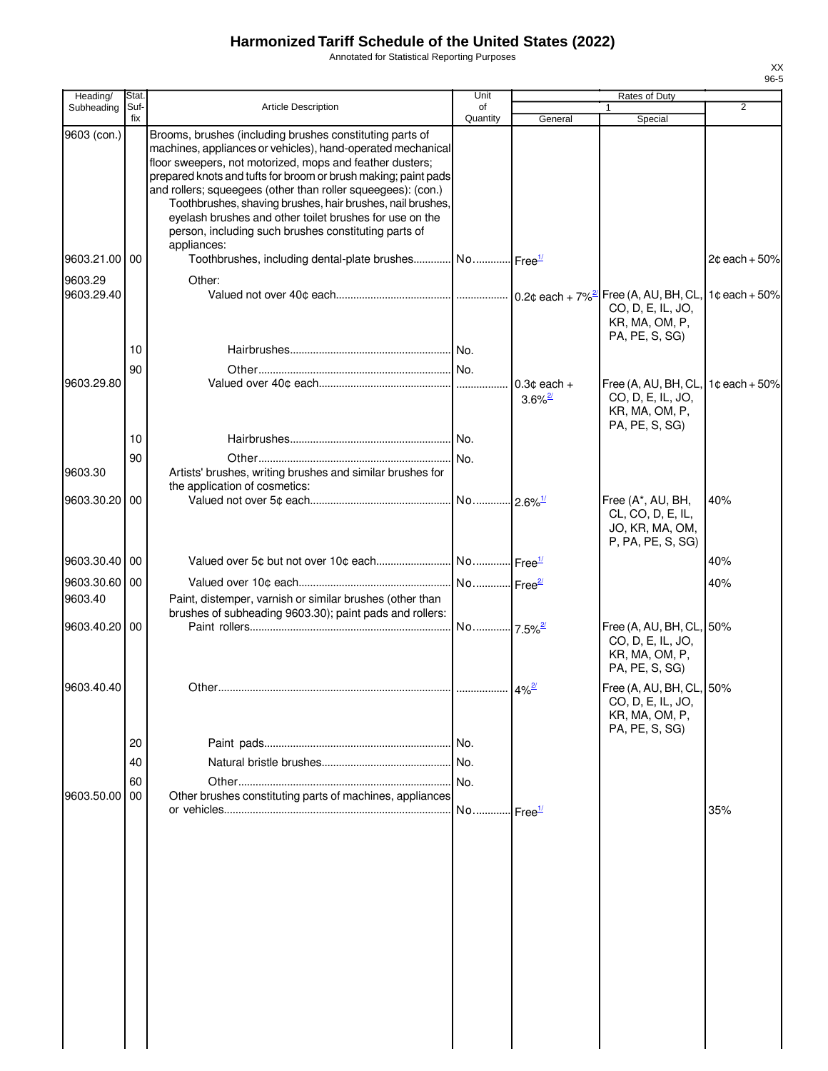Annotated for Statistical Reporting Purposes

| Heading/                 | Stat.          |                                                                                                                                                                                                                                                                                                                                                                                                                                                                                                        | Unit           |                            | Rates of Duty                                                                     |                 |
|--------------------------|----------------|--------------------------------------------------------------------------------------------------------------------------------------------------------------------------------------------------------------------------------------------------------------------------------------------------------------------------------------------------------------------------------------------------------------------------------------------------------------------------------------------------------|----------------|----------------------------|-----------------------------------------------------------------------------------|-----------------|
| Subheading               | Suf-<br>fix    | <b>Article Description</b>                                                                                                                                                                                                                                                                                                                                                                                                                                                                             | of<br>Quantity | General                    | Special                                                                           | 2               |
| 9603 (con.)              |                | Brooms, brushes (including brushes constituting parts of<br>machines, appliances or vehicles), hand-operated mechanical<br>floor sweepers, not motorized, mops and feather dusters;<br>prepared knots and tufts for broom or brush making; paint pads<br>and rollers; squeegees (other than roller squeegees): (con.)<br>Toothbrushes, shaving brushes, hair brushes, nail brushes,<br>eyelash brushes and other toilet brushes for use on the<br>person, including such brushes constituting parts of |                |                            |                                                                                   |                 |
| 9603.21.00 00            |                | appliances:<br>Toothbrushes, including dental-plate brushes No Free <sup>1/</sup>                                                                                                                                                                                                                                                                                                                                                                                                                      |                |                            |                                                                                   | $2¢$ each + 50% |
| 9603.29<br>9603.29.40    |                | Other:                                                                                                                                                                                                                                                                                                                                                                                                                                                                                                 |                |                            | CO, D, E, IL, JO,<br>KR, MA, OM, P,<br>PA, PE, S, SG)                             | $1¢$ each + 50% |
| 9603.29.80               | 10<br>90       |                                                                                                                                                                                                                                                                                                                                                                                                                                                                                                        |                | $0.3¢$ each +              | Free (A, AU, BH, CL,                                                              | $1¢$ each + 50% |
|                          | 10             |                                                                                                                                                                                                                                                                                                                                                                                                                                                                                                        |                | $3.6\%$ <sup>2/</sup>      | CO, D, E, IL, JO,<br>KR, MA, OM, P,<br>PA, PE, S, SG)                             |                 |
| 9603.30                  | 90             | Artists' brushes, writing brushes and similar brushes for<br>the application of cosmetics:                                                                                                                                                                                                                                                                                                                                                                                                             | No.            |                            |                                                                                   |                 |
| 9603.30.20 00            |                |                                                                                                                                                                                                                                                                                                                                                                                                                                                                                                        |                |                            | Free (A*, AU, BH,<br>CL, CO, D, E, IL,<br>JO, KR, MA, OM,<br>P, PA, PE, S, SG)    | 40%             |
| 9603.30.40 00            |                |                                                                                                                                                                                                                                                                                                                                                                                                                                                                                                        |                |                            |                                                                                   | 40%             |
| 9603.30.60 00<br>9603.40 |                | Paint, distemper, varnish or similar brushes (other than<br>brushes of subheading 9603.30); paint pads and rollers:                                                                                                                                                                                                                                                                                                                                                                                    |                |                            |                                                                                   | 40%             |
| 9603.40.20 00            |                |                                                                                                                                                                                                                                                                                                                                                                                                                                                                                                        |                |                            | Free (A, AU, BH, CL, 50%<br>CO, D, E, IL, JO,<br>KR, MA, OM, P,<br>PA, PE, S, SG) |                 |
| 9603.40.40               |                | Other                                                                                                                                                                                                                                                                                                                                                                                                                                                                                                  |                | $4\%$ <sup>2/</sup>        | Free (A, AU, BH, CL, 50%<br>CO, D, E, IL, JO,<br>KR, MA, OM, P,<br>PA, PE, S, SG) |                 |
|                          | 20<br>40<br>60 |                                                                                                                                                                                                                                                                                                                                                                                                                                                                                                        |                |                            |                                                                                   |                 |
| 9603.50.00               | 00             | Other brushes constituting parts of machines, appliances                                                                                                                                                                                                                                                                                                                                                                                                                                               | No             | $\cdot$ Free $\frac{1}{2}$ |                                                                                   | 35%             |
|                          |                |                                                                                                                                                                                                                                                                                                                                                                                                                                                                                                        |                |                            |                                                                                   |                 |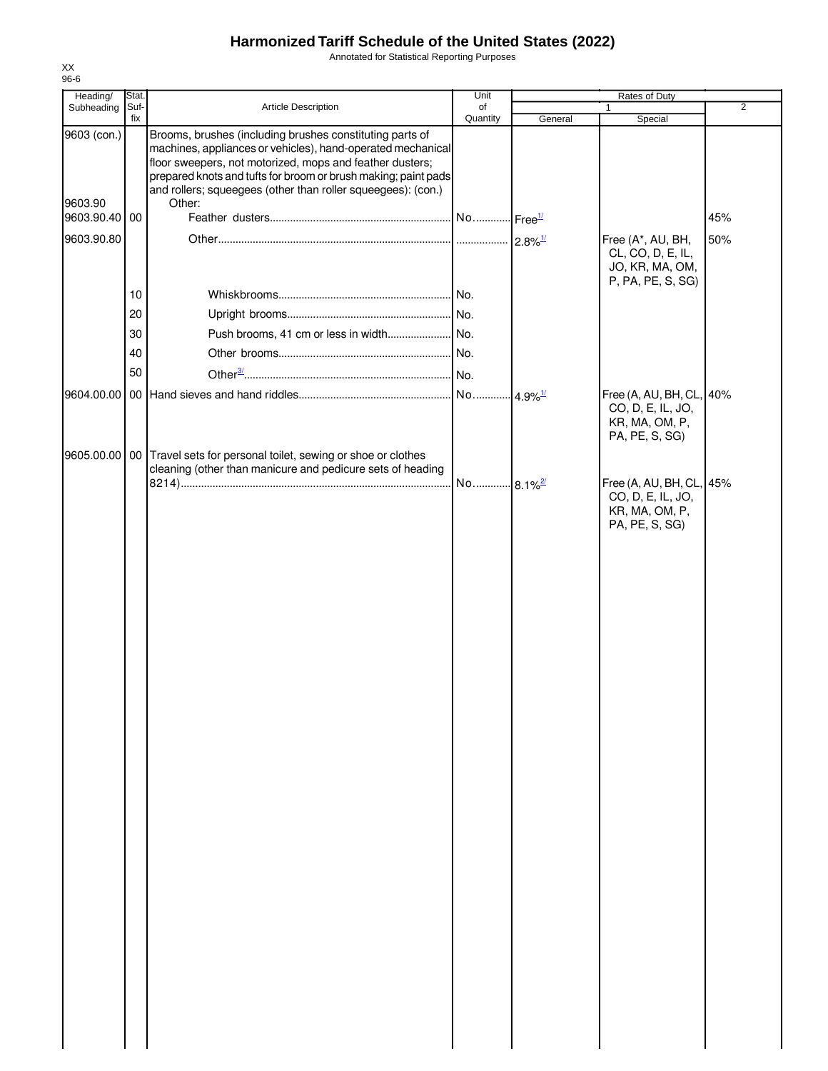Annotated for Statistical Reporting Purposes

| Heading/               | Stat.       |                                                                                                                                                                                                                                                                                                                                 | Unit           |         | Rates of Duty                                                                     |                |
|------------------------|-------------|---------------------------------------------------------------------------------------------------------------------------------------------------------------------------------------------------------------------------------------------------------------------------------------------------------------------------------|----------------|---------|-----------------------------------------------------------------------------------|----------------|
| Subheading             | Suf-<br>fix | Article Description                                                                                                                                                                                                                                                                                                             | of<br>Quantity | General | $\mathbf{1}$<br>Special                                                           | $\overline{2}$ |
| 9603 (con.)<br>9603.90 |             | Brooms, brushes (including brushes constituting parts of<br>machines, appliances or vehicles), hand-operated mechanical<br>floor sweepers, not motorized, mops and feather dusters;<br>prepared knots and tufts for broom or brush making; paint pads<br>and rollers; squeegees (other than roller squeegees): (con.)<br>Other: |                |         |                                                                                   |                |
| 9603.90.40 00          |             |                                                                                                                                                                                                                                                                                                                                 |                |         |                                                                                   | 45%            |
| 9603.90.80             |             |                                                                                                                                                                                                                                                                                                                                 |                |         | Free (A*, AU, BH,<br>CL, CO, D, E, IL,<br>JO, KR, MA, OM,<br>P, PA, PE, S, SG)    | 50%            |
|                        | 10          |                                                                                                                                                                                                                                                                                                                                 |                |         |                                                                                   |                |
|                        | 20          |                                                                                                                                                                                                                                                                                                                                 |                |         |                                                                                   |                |
|                        | 30          |                                                                                                                                                                                                                                                                                                                                 |                |         |                                                                                   |                |
|                        | 40          |                                                                                                                                                                                                                                                                                                                                 |                |         |                                                                                   |                |
|                        | 50          |                                                                                                                                                                                                                                                                                                                                 |                |         |                                                                                   |                |
|                        |             |                                                                                                                                                                                                                                                                                                                                 |                |         | Free (A, AU, BH, CL, 40%                                                          |                |
|                        |             |                                                                                                                                                                                                                                                                                                                                 |                |         | CO, D, E, IL, JO,<br>KR, MA, OM, P,<br>PA, PE, S, SG)                             |                |
|                        |             | 9605.00.00   00   Travel sets for personal toilet, sewing or shoe or clothes<br>cleaning (other than manicure and pedicure sets of heading                                                                                                                                                                                      |                |         |                                                                                   |                |
|                        |             |                                                                                                                                                                                                                                                                                                                                 |                |         | Free (A, AU, BH, CL, 45%<br>CO, D, E, IL, JO,<br>KR, MA, OM, P,<br>PA, PE, S, SG) |                |
|                        |             |                                                                                                                                                                                                                                                                                                                                 |                |         |                                                                                   |                |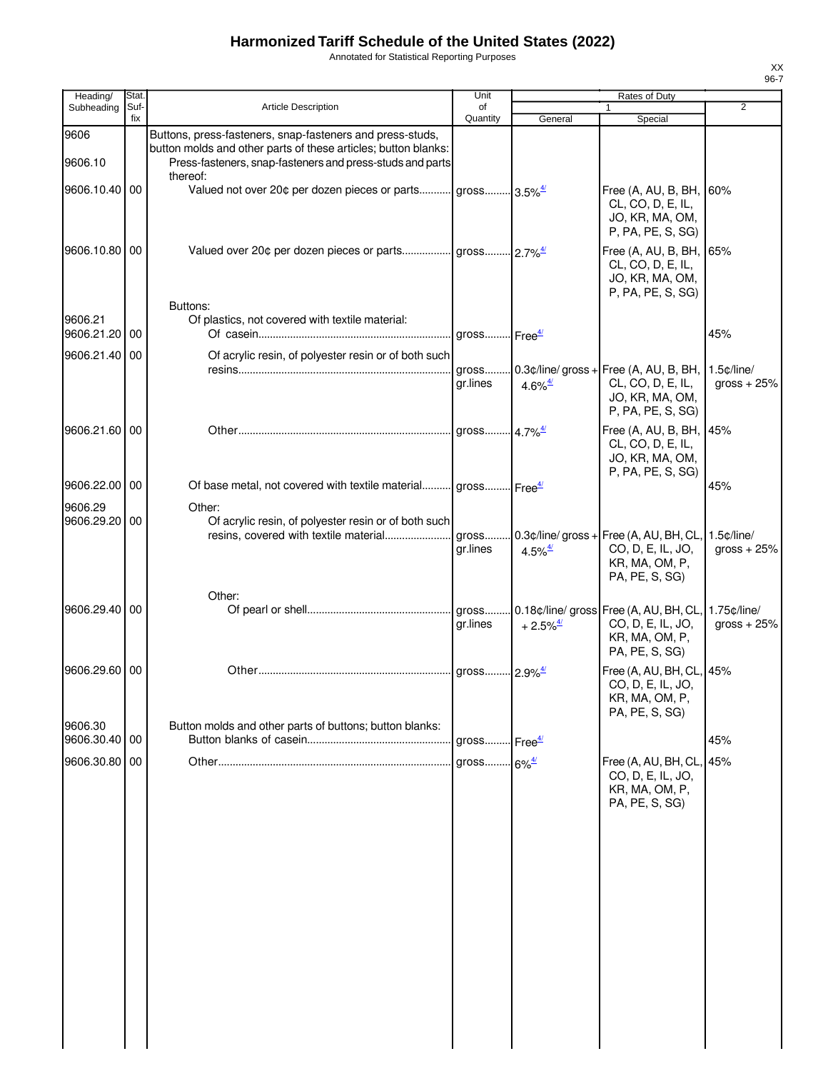Annotated for Statistical Reporting Purposes

| Heading/                 | Stat.       |                                                                                                                                                                                                      | Unit                                               |                                              | Rates of Duty                                                                                             |                                  |
|--------------------------|-------------|------------------------------------------------------------------------------------------------------------------------------------------------------------------------------------------------------|----------------------------------------------------|----------------------------------------------|-----------------------------------------------------------------------------------------------------------|----------------------------------|
| Subheading               | Suf-<br>fix | Article Description                                                                                                                                                                                  | of<br>Quantity                                     | General                                      | $\mathbf{1}$<br>Special                                                                                   | $\overline{2}$                   |
| 9606<br>9606.10          |             | Buttons, press-fasteners, snap-fasteners and press-studs,<br>button molds and other parts of these articles; button blanks:<br>Press-fasteners, snap-fasteners and press-studs and parts<br>thereof: |                                                    |                                              |                                                                                                           |                                  |
| 9606.10.40 00            |             | Valued not over 20¢ per dozen pieces or parts gross 3.5% <sup>4/</sup>                                                                                                                               |                                                    |                                              | Free (A, AU, B, BH, 60%<br>CL, CO, D, E, IL,<br>JO, KR, MA, OM,<br>P, PA, PE, S, SG)                      |                                  |
| 9606.10.80 00            |             |                                                                                                                                                                                                      |                                                    |                                              | Free (A, AU, B, BH,<br>CL, CO, D, E, IL,<br>JO, KR, MA, OM,<br>P, PA, PE, S, SG)                          | 65%                              |
| 9606.21                  |             | Buttons:<br>Of plastics, not covered with textile material:                                                                                                                                          |                                                    |                                              |                                                                                                           |                                  |
| 9606.21.20 00            |             |                                                                                                                                                                                                      |                                                    |                                              |                                                                                                           | 45%                              |
| 9606.21.40 00            |             | Of acrylic resin, of polyester resin or of both such                                                                                                                                                 |                                                    |                                              |                                                                                                           |                                  |
|                          |             |                                                                                                                                                                                                      | gr.lines                                           | 4.6% $\frac{4}{3}$                           | gross 0.3¢/line/ gross + Free (A, AU, B, BH,<br>CL, CO, D, E, IL,<br>JO, KR, MA, OM,<br>P, PA, PE, S, SG) | $1.5$ $c$ /line/<br>gross $+25%$ |
| 9606.21.60 00            |             |                                                                                                                                                                                                      |                                                    |                                              | Free (A, AU, B, BH,<br>CL, CO, D, E, IL,<br>JO, KR, MA, OM,<br>P, PA, PE, S, SG)                          | 45%                              |
| 9606.22.00 00            |             | Of base metal, not covered with textile material gross Free <sup>4/</sup>                                                                                                                            |                                                    |                                              |                                                                                                           | 45%                              |
| 9606.29                  |             | Other:                                                                                                                                                                                               |                                                    |                                              |                                                                                                           |                                  |
| 9606.29.20 00            |             | Of acrylic resin, of polyester resin or of both such<br>resins, covered with textile material                                                                                                        | gross<br>gr.lines                                  | 4.5% $\frac{4}{3}$                           | $0.3$ ¢/line/ gross + Free (A, AU, BH, CL,<br>CO, D, E, IL, JO,<br>KR, MA, OM, P,<br>PA, PE, S, SG)       | $1.5$ $¢$ /line/<br>gross $+25%$ |
| 9606.29.40 00            |             | Other:                                                                                                                                                                                               | ar.lines                                           | $+2.5\%$ <sup><math>\frac{4}{3}</math></sup> | CO, D, E, IL, JO,<br>KR, MA, OM, P,<br>PA, PE, S, SG)                                                     | 1.75¢/line/<br>gross $+25%$      |
| 9606.29.60 00            |             |                                                                                                                                                                                                      |                                                    |                                              | Free (A, AU, BH, CL, 45%<br>CO, D, E, IL, JO,<br>KR, MA, OM, P,<br>PA, PE, S, SG)                         |                                  |
| 9606.30<br>9606.30.40 00 |             | Button molds and other parts of buttons; button blanks:                                                                                                                                              |                                                    |                                              |                                                                                                           | 45%                              |
| 9606.30.80 00            |             |                                                                                                                                                                                                      | gross Free <sup>4/</sup><br>gross 6% <sup>4/</sup> |                                              | Free (A, AU, BH, CL,                                                                                      | 45%                              |
|                          |             |                                                                                                                                                                                                      |                                                    |                                              | CO, D, E, IL, JO,<br>KR, MA, OM, P,<br>PA, PE, S, SG)                                                     |                                  |
|                          |             |                                                                                                                                                                                                      |                                                    |                                              |                                                                                                           |                                  |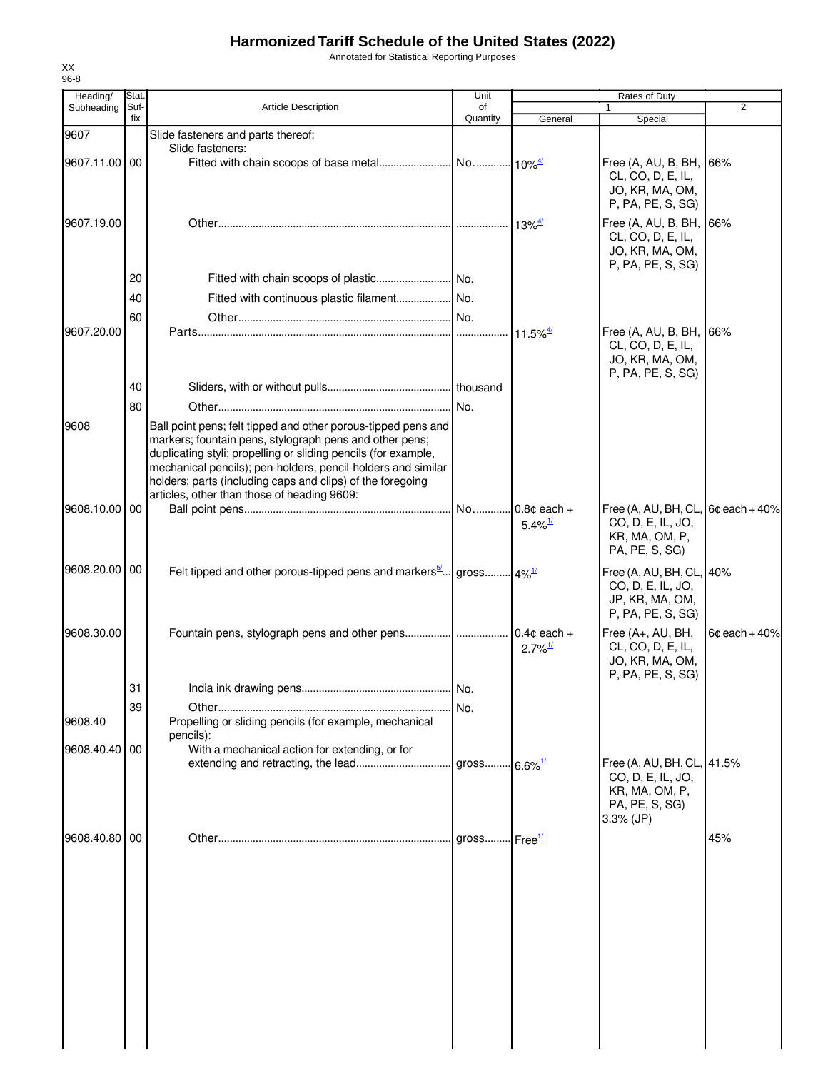Annotated for Statistical Reporting Purposes

| Heading/      | Stat.       |                                                                                                                                                                                                                                                                                                                                                                         | Unit                       |                                              | Rates of Duty                                                                                      |                 |
|---------------|-------------|-------------------------------------------------------------------------------------------------------------------------------------------------------------------------------------------------------------------------------------------------------------------------------------------------------------------------------------------------------------------------|----------------------------|----------------------------------------------|----------------------------------------------------------------------------------------------------|-----------------|
| Subheading    | Suf-<br>fix | <b>Article Description</b>                                                                                                                                                                                                                                                                                                                                              | of<br>Quantity             | General                                      | $\mathbf{1}$<br>Special                                                                            | 2               |
| 9607          |             | Slide fasteners and parts thereof:                                                                                                                                                                                                                                                                                                                                      |                            |                                              |                                                                                                    |                 |
| 9607.11.00 00 |             | Slide fasteners:                                                                                                                                                                                                                                                                                                                                                        |                            |                                              | Free (A, AU, B, BH, 66%<br>CL, CO, D, E, IL,<br>JO, KR, MA, OM,<br>P, PA, PE, S, SG)               |                 |
| 9607.19.00    |             |                                                                                                                                                                                                                                                                                                                                                                         |                            | $13\%^{\frac{4}{5}}$                         | Free (A, AU, B, BH, 66%<br>CL, CO, D, E, IL,<br>JO, KR, MA, OM,<br>P, PA, PE, S, SG)               |                 |
|               | 20          |                                                                                                                                                                                                                                                                                                                                                                         |                            |                                              |                                                                                                    |                 |
|               | 40          |                                                                                                                                                                                                                                                                                                                                                                         |                            |                                              |                                                                                                    |                 |
|               | 60          |                                                                                                                                                                                                                                                                                                                                                                         |                            |                                              |                                                                                                    |                 |
| 9607.20.00    |             |                                                                                                                                                                                                                                                                                                                                                                         |                            | $11.5\%$ <sup><math>\frac{4}{1}</math></sup> | Free (A, AU, B, BH, 66%<br>CL, CO, D, E, IL,<br>JO, KR, MA, OM,<br>P, PA, PE, S, SG)               |                 |
|               | 40          |                                                                                                                                                                                                                                                                                                                                                                         |                            |                                              |                                                                                                    |                 |
|               | 80          |                                                                                                                                                                                                                                                                                                                                                                         |                            |                                              |                                                                                                    |                 |
| 9608          |             | Ball point pens; felt tipped and other porous-tipped pens and<br>markers; fountain pens, stylograph pens and other pens;<br>duplicating styli; propelling or sliding pencils (for example,<br>mechanical pencils); pen-holders, pencil-holders and similar<br>holders; parts (including caps and clips) of the foregoing<br>articles, other than those of heading 9609: |                            |                                              |                                                                                                    |                 |
| 9608.10.00    | 00          |                                                                                                                                                                                                                                                                                                                                                                         |                            | $5.4\%$ <sup>1/</sup>                        | Free (A, AU, BH, CL,<br>CO, D, E, IL, JO,<br>KR, MA, OM, P,<br>PA, PE, S, SG)                      | $6¢$ each + 40% |
| 9608.20.00 00 |             | Felt tipped and other porous-tipped pens and markers $\frac{5}{2}$ gross $4\frac{1}{2}$                                                                                                                                                                                                                                                                                 |                            |                                              | Free (A, AU, BH, CL, 40%<br>CO, D, E, IL, JO,<br>JP, KR, MA, OM,<br>P, PA, PE, S, SG)              |                 |
| 9608.30.00    |             |                                                                                                                                                                                                                                                                                                                                                                         |                            | $2.7\%$ <sup>1/</sup>                        | Free (A+, AU, BH,<br>CL, CO, D, E, IL,<br>JO, KR, MA, OM,<br>P, PA, PE, S, SG)                     | $6c$ each + 40% |
|               | 31          |                                                                                                                                                                                                                                                                                                                                                                         |                            |                                              |                                                                                                    |                 |
| 9608.40       | 39          | Propelling or sliding pencils (for example, mechanical<br>pencils):                                                                                                                                                                                                                                                                                                     | No.                        |                                              |                                                                                                    |                 |
| 9608.40.40    | 00          | With a mechanical action for extending, or for                                                                                                                                                                                                                                                                                                                          |                            |                                              |                                                                                                    |                 |
|               |             |                                                                                                                                                                                                                                                                                                                                                                         | gross 6.6% <sup>1/</sup>   |                                              | Free (A, AU, BH, CL, 41.5%<br>CO, D, E, IL, JO,<br>KR, MA, OM, P,<br>PA, PE, S, SG)<br>$3.3%$ (JP) |                 |
| 9608.40.80    | 00          |                                                                                                                                                                                                                                                                                                                                                                         | gross $Free^{\frac{1}{2}}$ |                                              |                                                                                                    | 45%             |
|               |             |                                                                                                                                                                                                                                                                                                                                                                         |                            |                                              |                                                                                                    |                 |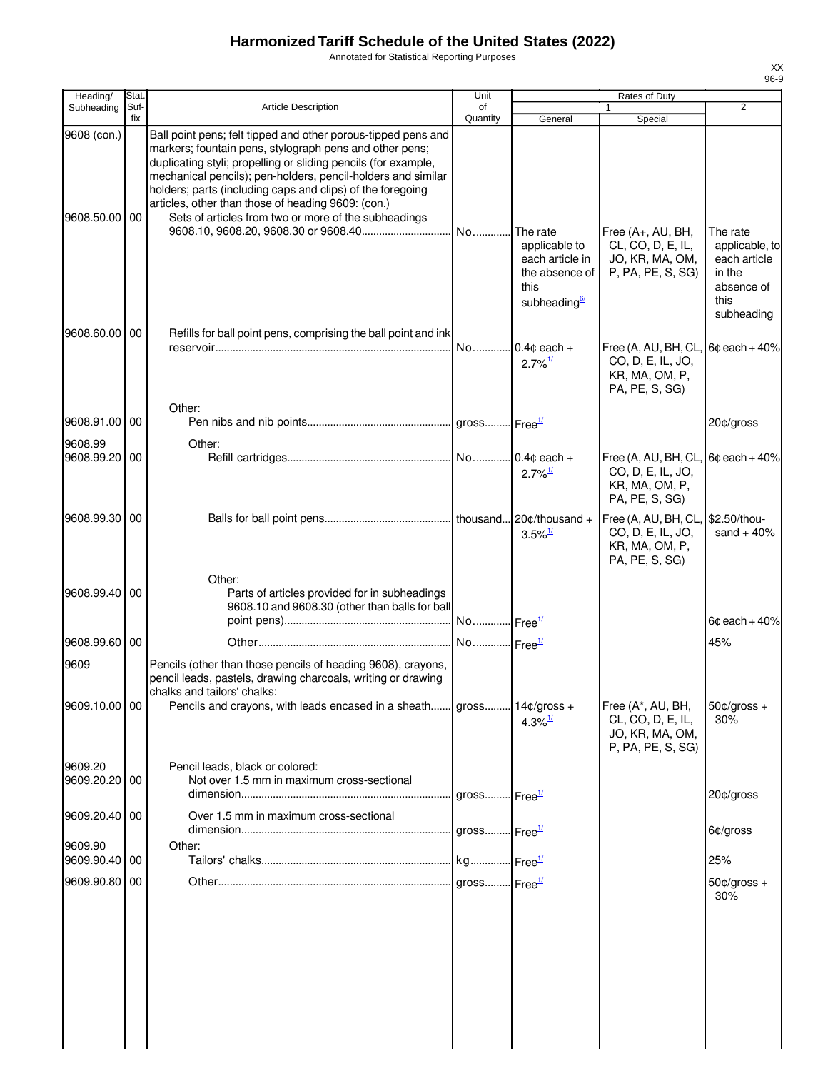Annotated for Statistical Reporting Purposes

| Heading/                  | Stat.           |                                                                                                                                                                                                                                                                                                                                                                                                                                        | Unit                     |                                                                       | Rates of Duty                                                                  |                                                            |
|---------------------------|-----------------|----------------------------------------------------------------------------------------------------------------------------------------------------------------------------------------------------------------------------------------------------------------------------------------------------------------------------------------------------------------------------------------------------------------------------------------|--------------------------|-----------------------------------------------------------------------|--------------------------------------------------------------------------------|------------------------------------------------------------|
| Subheading                | Suf-<br>fix     | <b>Article Description</b>                                                                                                                                                                                                                                                                                                                                                                                                             | of<br>Quantity           | General                                                               | 1<br>Special                                                                   | $\overline{2}$                                             |
| 9608 (con.)<br>9608.50.00 | 00              | Ball point pens; felt tipped and other porous-tipped pens and<br>markers; fountain pens, stylograph pens and other pens;<br>duplicating styli; propelling or sliding pencils (for example,<br>mechanical pencils); pen-holders, pencil-holders and similar<br>holders; parts (including caps and clips) of the foregoing<br>articles, other than those of heading 9609: (con.)<br>Sets of articles from two or more of the subheadings | No                       | The rate<br>applicable to                                             | Free (A+, AU, BH,<br>CL, CO, D, E, IL,                                         | The rate<br>applicable, to                                 |
| 9608.60.00                | $\overline{00}$ | Refills for ball point pens, comprising the ball point and ink                                                                                                                                                                                                                                                                                                                                                                         |                          | each article in<br>the absence of<br>this<br>subheading <sup>6/</sup> | JO, KR, MA, OM,<br>P, PA, PE, S, SG)                                           | each article<br>in the<br>absence of<br>this<br>subheading |
|                           |                 | Other:                                                                                                                                                                                                                                                                                                                                                                                                                                 | No                       | $0.4c$ each +<br>$2.7\%$ <sup>1/</sup>                                | Free (A, AU, BH, CL<br>CO, D, E, IL, JO,<br>KR, MA, OM, P,<br>PA, PE, S, SG)   | $6¢$ each + 40%                                            |
| 9608.91.00 00             |                 |                                                                                                                                                                                                                                                                                                                                                                                                                                        |                          |                                                                       |                                                                                | 20¢/gross                                                  |
| 9608.99<br>9608.99.20 00  |                 | Other:                                                                                                                                                                                                                                                                                                                                                                                                                                 |                          | $2.7\%$ <sup>1/</sup>                                                 | Free (A, AU, BH, CL<br>CO, D, E, IL, JO,<br>KR, MA, OM, P,<br>PA, PE, S, SG)   | $6c$ each + 40%                                            |
| 9608.99.30 00             |                 |                                                                                                                                                                                                                                                                                                                                                                                                                                        |                          | $20$ ¢/thousand +<br>$3.5\%$ <sup>1/</sup>                            | Free (A, AU, BH, CL,<br>CO, D, E, IL, JO,<br>KR, MA, OM, P,<br>PA, PE, S, SG)  | \$2.50/thou-<br>sand $+40%$                                |
| 9608.99.40 00             |                 | Other:<br>Parts of articles provided for in subheadings<br>9608.10 and 9608.30 (other than balls for ball                                                                                                                                                                                                                                                                                                                              | No Free <sup>1/</sup>    |                                                                       |                                                                                | $6¢$ each + 40%                                            |
| 9608.99.60 00             |                 |                                                                                                                                                                                                                                                                                                                                                                                                                                        | No Free <sup>1/</sup>    |                                                                       |                                                                                | 45%                                                        |
| 9609                      |                 | Pencils (other than those pencils of heading 9608), crayons,<br>pencil leads, pastels, drawing charcoals, writing or drawing<br>chalks and tailors' chalks:                                                                                                                                                                                                                                                                            |                          |                                                                       |                                                                                |                                                            |
| 9609.10.00 00             |                 | Pencils and crayons, with leads encased in a sheath gross 14¢/gross +                                                                                                                                                                                                                                                                                                                                                                  |                          | $4.3\%$ <sup>1/</sup>                                                 | Free (A*, AU, BH,<br>CL, CO, D, E, IL,<br>JO, KR, MA, OM,<br>P, PA, PE, S, SG) | $50¢/gross +$<br>30%                                       |
| 9609.20<br>9609.20.20 00  |                 | Pencil leads, black or colored:<br>Not over 1.5 mm in maximum cross-sectional                                                                                                                                                                                                                                                                                                                                                          | gross Free <sup>1/</sup> |                                                                       |                                                                                | 20¢/gross                                                  |
| 9609.20.40 00             |                 | Over 1.5 mm in maximum cross-sectional                                                                                                                                                                                                                                                                                                                                                                                                 | gross Free <sup>1/</sup> |                                                                       |                                                                                | 6¢/gross                                                   |
| 9609.90<br>9609.90.40     | 00              | Other:                                                                                                                                                                                                                                                                                                                                                                                                                                 |                          |                                                                       |                                                                                | 25%                                                        |
| 9609.90.80 00             |                 |                                                                                                                                                                                                                                                                                                                                                                                                                                        | gross Free <sup>1/</sup> |                                                                       |                                                                                | $50¢/gross +$<br>30%                                       |
|                           |                 |                                                                                                                                                                                                                                                                                                                                                                                                                                        |                          |                                                                       |                                                                                |                                                            |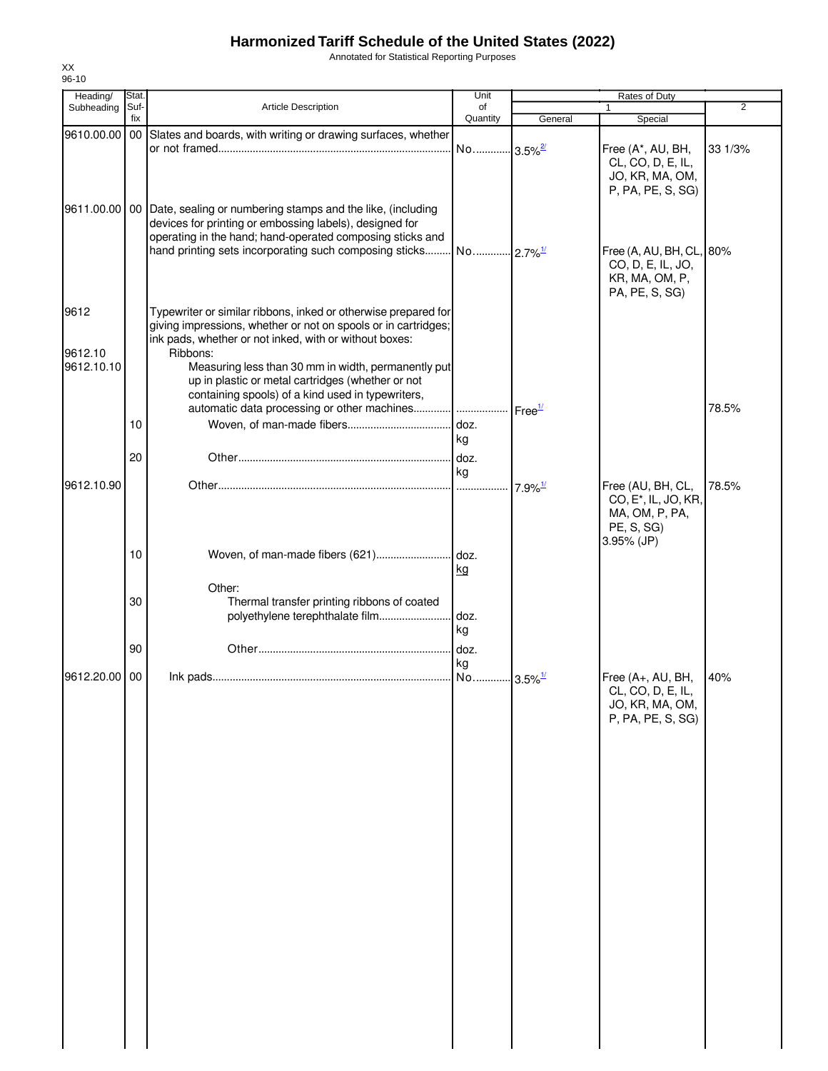Annotated for Statistical Reporting Purposes

| Heading/      | Stat.       |                                                                            | Unit                  |                       | Rates of Duty                    |         |
|---------------|-------------|----------------------------------------------------------------------------|-----------------------|-----------------------|----------------------------------|---------|
| Subheading    | Suf-<br>fix | <b>Article Description</b>                                                 | of<br>Quantity        | General               | 1<br>Special                     | 2       |
| 9610.00.00    |             | 00 Slates and boards, with writing or drawing surfaces, whether            |                       |                       |                                  |         |
|               |             |                                                                            | No 3.5% <sup>2/</sup> |                       | Free (A*, AU, BH,                | 33 1/3% |
|               |             |                                                                            |                       |                       | CL, CO, D, E, IL,                |         |
|               |             |                                                                            |                       |                       | JO, KR, MA, OM,                  |         |
|               |             |                                                                            |                       |                       | P, PA, PE, S, SG)                |         |
|               |             | 9611.00.00   00 Date, sealing or numbering stamps and the like, (including |                       |                       |                                  |         |
|               |             | devices for printing or embossing labels), designed for                    |                       |                       |                                  |         |
|               |             | operating in the hand; hand-operated composing sticks and                  |                       |                       |                                  |         |
|               |             |                                                                            |                       |                       | Free (A, AU, BH, CL, 80%         |         |
|               |             |                                                                            |                       |                       | CO, D, E, IL, JO,                |         |
|               |             |                                                                            |                       |                       | KR, MA, OM, P,                   |         |
|               |             |                                                                            |                       |                       | PA, PE, S, SG)                   |         |
| 9612          |             | Typewriter or similar ribbons, inked or otherwise prepared for             |                       |                       |                                  |         |
|               |             | giving impressions, whether or not on spools or in cartridges;             |                       |                       |                                  |         |
|               |             | ink pads, whether or not inked, with or without boxes:                     |                       |                       |                                  |         |
| 9612.10       |             | Ribbons:                                                                   |                       |                       |                                  |         |
| 9612.10.10    |             | Measuring less than 30 mm in width, permanently put                        |                       |                       |                                  |         |
|               |             | up in plastic or metal cartridges (whether or not                          |                       |                       |                                  |         |
|               |             | containing spools) of a kind used in typewriters,                          |                       |                       |                                  |         |
|               |             | automatic data processing or other machines   Free <sup>1/</sup>           |                       |                       |                                  | 78.5%   |
|               | 10          |                                                                            | doz.                  |                       |                                  |         |
|               |             |                                                                            | kg                    |                       |                                  |         |
|               | 20          |                                                                            | doz.                  |                       |                                  |         |
|               |             |                                                                            | kg                    |                       |                                  |         |
| 9612.10.90    |             |                                                                            | .                     | $7.9\%$ <sup>1/</sup> | Free (AU, BH, CL,                | 78.5%   |
|               |             |                                                                            |                       |                       | CO, E <sup>*</sup> , IL, JO, KR, |         |
|               |             |                                                                            |                       |                       | MA, OM, P, PA,                   |         |
|               |             |                                                                            |                       |                       | PE, S, SG)<br>3.95% (JP)         |         |
|               | 10          |                                                                            |                       |                       |                                  |         |
|               |             |                                                                            | <u>kg</u>             |                       |                                  |         |
|               |             | Other:                                                                     |                       |                       |                                  |         |
|               | 30          | Thermal transfer printing ribbons of coated                                |                       |                       |                                  |         |
|               |             | polyethylene terephthalate film                                            | doz.                  |                       |                                  |         |
|               |             |                                                                            | kg                    |                       |                                  |         |
|               | 90          |                                                                            | doz.                  |                       |                                  |         |
|               |             |                                                                            | kg                    |                       |                                  |         |
| 9612.20.00 00 |             |                                                                            |                       |                       | Free (A+, AU, BH,                | 40%     |
|               |             |                                                                            |                       |                       | CL, CO, D, E, IL,                |         |
|               |             |                                                                            |                       |                       | JO, KR, MA, OM,                  |         |
|               |             |                                                                            |                       |                       | P, PA, PE, S, SG)                |         |
|               |             |                                                                            |                       |                       |                                  |         |
|               |             |                                                                            |                       |                       |                                  |         |
|               |             |                                                                            |                       |                       |                                  |         |
|               |             |                                                                            |                       |                       |                                  |         |
|               |             |                                                                            |                       |                       |                                  |         |
|               |             |                                                                            |                       |                       |                                  |         |
|               |             |                                                                            |                       |                       |                                  |         |
|               |             |                                                                            |                       |                       |                                  |         |
|               |             |                                                                            |                       |                       |                                  |         |
|               |             |                                                                            |                       |                       |                                  |         |
|               |             |                                                                            |                       |                       |                                  |         |
|               |             |                                                                            |                       |                       |                                  |         |
|               |             |                                                                            |                       |                       |                                  |         |
|               |             |                                                                            |                       |                       |                                  |         |
|               |             |                                                                            |                       |                       |                                  |         |
|               |             |                                                                            |                       |                       |                                  |         |
|               |             |                                                                            |                       |                       |                                  |         |
|               |             |                                                                            |                       |                       |                                  |         |
|               |             |                                                                            |                       |                       |                                  |         |
|               |             |                                                                            |                       |                       |                                  |         |
|               |             |                                                                            |                       |                       |                                  |         |
|               |             |                                                                            |                       |                       |                                  |         |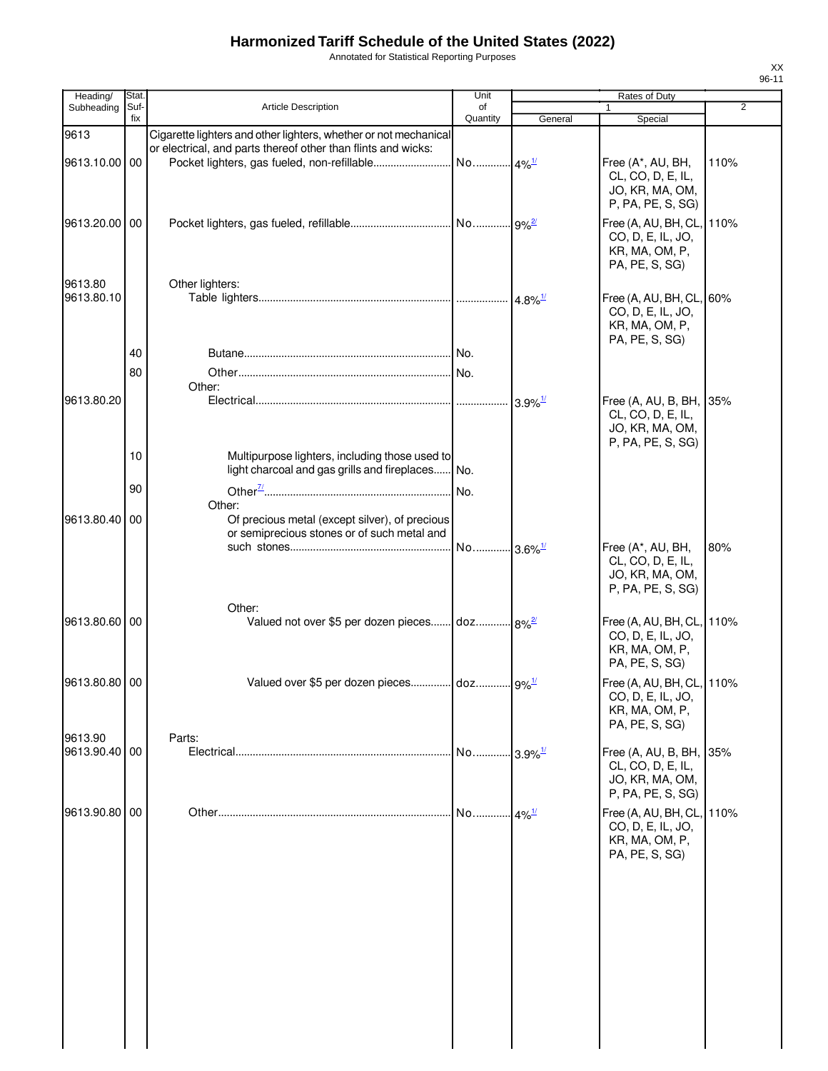Annotated for Statistical Reporting Purposes

| Heading/                 | <b>Stat</b> |                                                                                                              | Unit           |                        | Rates of Duty                                                                        |                |
|--------------------------|-------------|--------------------------------------------------------------------------------------------------------------|----------------|------------------------|--------------------------------------------------------------------------------------|----------------|
| Subheading               | Suf-<br>fix | Article Description                                                                                          | of<br>Quantity |                        |                                                                                      | $\overline{2}$ |
| 9613                     |             | Cigarette lighters and other lighters, whether or not mechanical                                             |                | General                | Special                                                                              |                |
| 9613.10.00 00            |             | or electrical, and parts thereof other than flints and wicks:<br>Pocket lighters, gas fueled, non-refillable | No             | $.4\%$ <sup>1/</sup>   | Free (A*, AU, BH,<br>CL, CO, D, E, IL,<br>JO, KR, MA, OM,<br>P, PA, PE, S, SG)       | 110%           |
| 9613.20.00 00            |             |                                                                                                              |                |                        | Free (A, AU, BH, CL, 110%<br>CO, D, E, IL, JO,<br>KR, MA, OM, P,<br>PA, PE, S, SG)   |                |
| 9613.80<br>9613.80.10    |             | Other lighters:                                                                                              |                | $4.8\%$ <sup>1/</sup>  | Free (A, AU, BH, CL, 60%<br>CO, D, E, IL, JO,<br>KR, MA, OM, P,                      |                |
|                          | 40<br>80    |                                                                                                              |                |                        | PA, PE, S, SG)                                                                       |                |
| 9613.80.20               |             | Other:                                                                                                       |                | $3.9\%$ <sup>1/</sup>  | Free (A, AU, B, BH, 35%<br>CL, CO, D, E, IL,<br>JO, KR, MA, OM,<br>P, PA, PE, S, SG) |                |
|                          | 10          | Multipurpose lighters, including those used to<br>light charcoal and gas grills and fireplaces No.           |                |                        |                                                                                      |                |
| 9613.80.40               | 90<br>00    | Other:<br>Of precious metal (except silver), of precious<br>or semiprecious stones or of such metal and      | No.            |                        |                                                                                      |                |
|                          |             |                                                                                                              | No             | ⊶l3.6% <sup>1/</sup>   | Free (A*, AU, BH,<br>CL, CO, D, E, IL,<br>JO, KR, MA, OM,<br>P, PA, PE, S, SG)       | 80%            |
| 9613.80.60 00            |             | Other:<br>Valued not over \$5 per dozen pieces doz 8% <sup>2</sup>                                           |                |                        | Free (A, AU, BH, CL, 110%<br>CO, D, E, IL, JO,<br>KR, MA, OM, P,<br>PA, PE, S, SG)   |                |
| 9613.80.80 00            |             | Valued over \$5 per dozen pieces doz 9% <sup>1/</sup>                                                        |                |                        | Free (A, AU, BH, CL, 110%<br>CO, D, E, IL, JO,<br>KR, MA, OM, P,<br>PA, PE, S, SG)   |                |
| 9613.90<br>9613.90.40 00 |             | Parts:                                                                                                       | No             | $-3.9\%$ <sup>1/</sup> | Free (A, AU, B, BH, 35%<br>CL, CO, D, E, IL,<br>JO, KR, MA, OM,<br>P, PA, PE, S, SG) |                |
| 9613.90.80               | 00          |                                                                                                              | No             | $.4\%$ <sup>1/</sup>   | Free (A, AU, BH, CL, 110%<br>CO, D, E, IL, JO,<br>KR, MA, OM, P,<br>PA, PE, S, SG)   |                |
|                          |             |                                                                                                              |                |                        |                                                                                      |                |
|                          |             |                                                                                                              |                |                        |                                                                                      |                |
|                          |             |                                                                                                              |                |                        |                                                                                      |                |
|                          |             |                                                                                                              |                |                        |                                                                                      |                |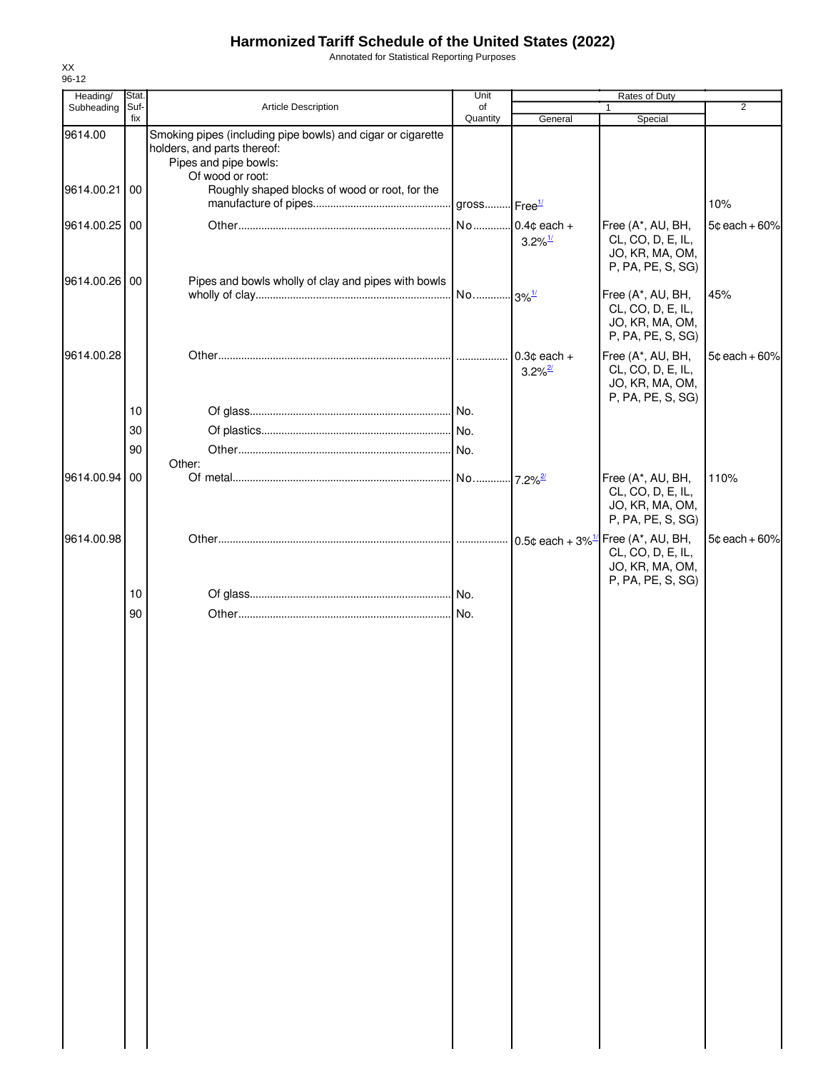Annotated for Statistical Reporting Purposes

| Heading/                 | Stat.       |                                                                                                                                                                                           | Unit                     |                                         | Rates of Duty                                                                                                  |                 |
|--------------------------|-------------|-------------------------------------------------------------------------------------------------------------------------------------------------------------------------------------------|--------------------------|-----------------------------------------|----------------------------------------------------------------------------------------------------------------|-----------------|
| Subheading               | Suf-<br>fix | Article Description                                                                                                                                                                       | of<br>Quantity           | General                                 | 1<br>Special                                                                                                   | $\overline{2}$  |
| 9614.00<br>9614.00.21 00 |             | Smoking pipes (including pipe bowls) and cigar or cigarette<br>holders, and parts thereof:<br>Pipes and pipe bowls:<br>Of wood or root:<br>Roughly shaped blocks of wood or root, for the |                          |                                         |                                                                                                                |                 |
|                          |             |                                                                                                                                                                                           | gross Free <sup>1/</sup> |                                         |                                                                                                                | 10%             |
| 9614.00.25 00            |             |                                                                                                                                                                                           |                          | No 0.4¢ each +<br>$3.2\%$ <sup>1/</sup> | Free (A*, AU, BH,<br>CL, CO, D, E, IL,<br>JO, KR, MA, OM,<br>P, PA, PE, S, SG)                                 | $5¢$ each + 60% |
| 9614.00.26 00            |             | Pipes and bowls wholly of clay and pipes with bowls                                                                                                                                       |                          |                                         | Free (A*, AU, BH,<br>CL, CO, D, E, IL,<br>JO, KR, MA, OM,<br>P, PA, PE, S, SG)                                 | 45%             |
| 9614.00.28               |             |                                                                                                                                                                                           |                          | $0.3¢$ each +<br>$3.2\%$ <sup>2/</sup>  | Free (A*, AU, BH,<br>CL, CO, D, E, IL,<br>JO, KR, MA, OM,<br>P, PA, PE, S, SG)                                 | $5¢$ each + 60% |
|                          | 10          |                                                                                                                                                                                           |                          |                                         |                                                                                                                |                 |
|                          | 30          |                                                                                                                                                                                           |                          |                                         |                                                                                                                |                 |
|                          | 90          | Other:                                                                                                                                                                                    |                          |                                         |                                                                                                                |                 |
| 9614.00.94 00            |             |                                                                                                                                                                                           |                          | $-7.2\%$ <sup>2/</sup>                  | Free (A*, AU, BH,<br>CL, CO, D, E, IL,<br>JO, KR, MA, OM,<br>P, PA, PE, S, SG)                                 | 110%            |
| 9614.00.98               |             |                                                                                                                                                                                           |                          |                                         | 0.5¢ each + $3\%$ <sup>1/</sup> Free (A*, AU, BH,<br>CL, CO, D, E, IL,<br>JO, KR, MA, OM,<br>P, PA, PE, S, SG) | $5¢$ each + 60% |
|                          | 10          |                                                                                                                                                                                           |                          |                                         |                                                                                                                |                 |
|                          | 90          |                                                                                                                                                                                           |                          |                                         |                                                                                                                |                 |
|                          |             |                                                                                                                                                                                           |                          |                                         |                                                                                                                |                 |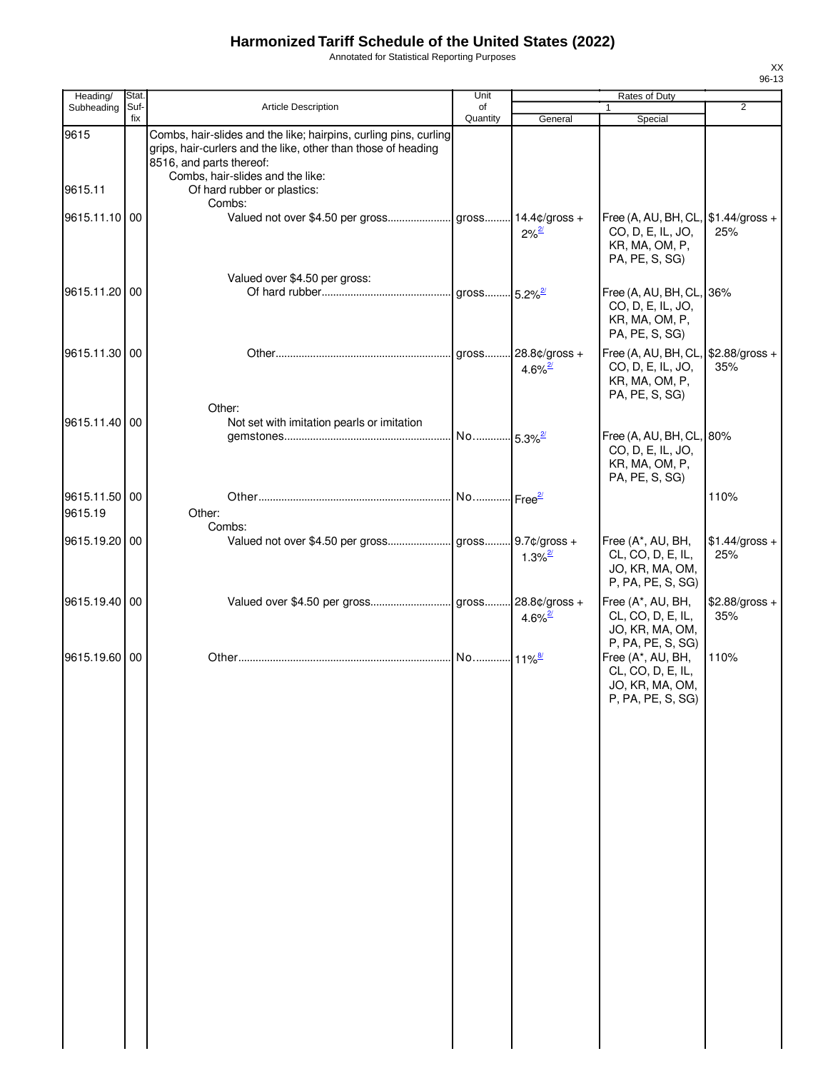Annotated for Statistical Reporting Purposes

| Heading/                 | Stat.       |                                                                                                                                                                                                   | Unit           |                                        | Rates of Duty                                                                                                   |                        |
|--------------------------|-------------|---------------------------------------------------------------------------------------------------------------------------------------------------------------------------------------------------|----------------|----------------------------------------|-----------------------------------------------------------------------------------------------------------------|------------------------|
| Subheading               | Suf-<br>fix | Article Description                                                                                                                                                                               | of<br>Quantity | General                                | Special                                                                                                         | $\overline{2}$         |
| 9615                     |             | Combs, hair-slides and the like; hairpins, curling pins, curling<br>grips, hair-curlers and the like, other than those of heading<br>8516, and parts thereof:<br>Combs, hair-slides and the like: |                |                                        |                                                                                                                 |                        |
| 9615.11<br>9615.11.10 00 |             | Of hard rubber or plastics:<br>Combs:                                                                                                                                                             |                | $2\%^{\frac{2l}{2}}$                   | Free (A, AU, BH, CL, $$1.44/gross +$<br>CO, D, E, IL, JO,<br>KR, MA, OM, P,                                     | 25%                    |
| 9615.11.20 00            |             | Valued over \$4.50 per gross:                                                                                                                                                                     |                |                                        | PA, PE, S, SG)<br>Free (A, AU, BH, CL, 36%<br>CO, D, E, IL, JO,<br>KR, MA, OM, P,                               |                        |
| 9615.11.30 00            |             |                                                                                                                                                                                                   | gross          | 28.8¢/gross +<br>$4.6\%$ <sup>2/</sup> | PA, PE, S, SG)<br>Free (A, AU, BH, CL, $$2.88/gross +$<br>CO, D, E, IL, JO,<br>KR, MA, OM, P,<br>PA, PE, S, SG) | 35%                    |
| 9615.11.40 00            |             | Other:<br>Not set with imitation pearls or imitation                                                                                                                                              |                |                                        | Free (A, AU, BH, CL, 80%<br>CO, D, E, IL, JO,<br>KR, MA, OM, P,                                                 |                        |
| 9615.11.50 00<br>9615.19 |             | Other:<br>Combs:                                                                                                                                                                                  |                |                                        | PA, PE, S, SG)                                                                                                  | 110%                   |
| 9615.19.20 00            |             |                                                                                                                                                                                                   |                | $1.3\%$ <sup>2/</sup>                  | Free (A*, AU, BH,<br>CL, CO, D, E, IL,<br>JO, KR, MA, OM,<br>P, PA, PE, S, SG)                                  | $$1.44/gross +$<br>25% |
| 9615.19.40 00            |             |                                                                                                                                                                                                   |                | $4.6\%$ <sup>2/</sup>                  | Free (A*, AU, BH,<br>CL, CO, D, E, IL,<br>JO, KR, MA, OM,<br>P, PA, PE, S, SG)                                  | \$2.88/gross +<br>35%  |
| 9615.19.60 00            |             |                                                                                                                                                                                                   |                |                                        | Free (A*, AU, BH,<br>CL, CO, D, E, IL,<br>JO, KR, MA, OM,<br>P, PA, PE, S, SG)                                  | 110%                   |
|                          |             |                                                                                                                                                                                                   |                |                                        |                                                                                                                 |                        |
|                          |             |                                                                                                                                                                                                   |                |                                        |                                                                                                                 |                        |
|                          |             |                                                                                                                                                                                                   |                |                                        |                                                                                                                 |                        |
|                          |             |                                                                                                                                                                                                   |                |                                        |                                                                                                                 |                        |
|                          |             |                                                                                                                                                                                                   |                |                                        |                                                                                                                 |                        |
|                          |             |                                                                                                                                                                                                   |                |                                        |                                                                                                                 |                        |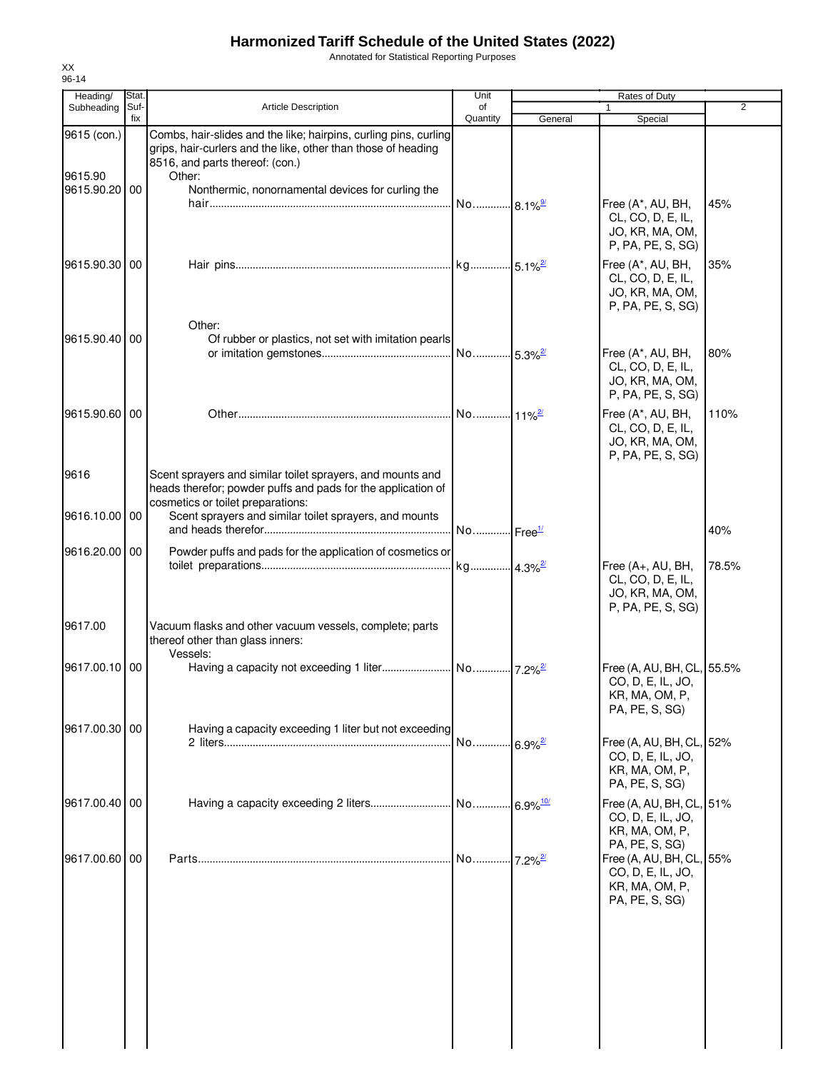Annotated for Statistical Reporting Purposes

| Heading/<br>Subheading | Stat<br>Suf- | <b>Article Description</b>                                                                                                                                                     | Unit<br>of            |         | Rates of Duty<br>$\mathbf{1}$                                                                       | 2     |
|------------------------|--------------|--------------------------------------------------------------------------------------------------------------------------------------------------------------------------------|-----------------------|---------|-----------------------------------------------------------------------------------------------------|-------|
|                        | fix          |                                                                                                                                                                                | Quantity              | General | Special                                                                                             |       |
| 9615 (con.)<br>9615.90 |              | Combs, hair-slides and the like; hairpins, curling pins, curling<br>grips, hair-curlers and the like, other than those of heading<br>8516, and parts thereof: (con.)<br>Other: |                       |         |                                                                                                     |       |
| 9615.90.20 00          |              | Nonthermic, nonornamental devices for curling the                                                                                                                              |                       |         | Free (A*, AU, BH,<br>CL, CO, D, E, IL,<br>JO, KR, MA, OM,<br>P, PA, PE, S, SG)                      | 45%   |
| 9615.90.30 00          |              | Other:                                                                                                                                                                         |                       |         | Free (A*, AU, BH,<br>CL, CO, D, E, IL,<br>JO, KR, MA, OM,<br>P, PA, PE, S, SG)                      | 35%   |
| 9615.90.40 00          |              | Of rubber or plastics, not set with imitation pearls                                                                                                                           |                       |         | Free (A*, AU, BH,<br>CL, CO, D, E, IL,<br>JO, KR, MA, OM,<br>P, PA, PE, S, SG)                      | 80%   |
| 9615.90.60 00          |              |                                                                                                                                                                                |                       |         | Free (A*, AU, BH,<br>CL, CO, D, E, IL,<br>JO, KR, MA, OM,<br>P, PA, PE, S, SG)                      | 110%  |
| 9616                   |              | Scent sprayers and similar toilet sprayers, and mounts and<br>heads therefor; powder puffs and pads for the application of<br>cosmetics or toilet preparations:                |                       |         |                                                                                                     |       |
| 9616.10.00 00          |              | Scent sprayers and similar toilet sprayers, and mounts                                                                                                                         |                       |         |                                                                                                     | 40%   |
| 9616.20.00 00          |              | Powder puffs and pads for the application of cosmetics or                                                                                                                      |                       |         | Free (A+, AU, BH,<br>CL, CO, D, E, IL,<br>JO, KR, MA, OM,<br>P, PA, PE, S, SG)                      | 78.5% |
| 9617.00                |              | Vacuum flasks and other vacuum vessels, complete; parts<br>thereof other than glass inners:<br>Vessels:                                                                        |                       |         |                                                                                                     |       |
| 9617.00.10 00          |              |                                                                                                                                                                                |                       |         | Free (A, AU, BH, CL, 55.5%<br>CO, D, E, IL, JO,<br>KR, MA, OM, P,<br>PA, PE, S, SG)                 |       |
| 9617.00.30 00          |              | Having a capacity exceeding 1 liter but not exceeding                                                                                                                          | No 6.9% <sup>2/</sup> |         | Free (A, AU, BH, CL, 52%<br>CO, D, E, IL, JO,<br>KR, MA, OM, P,<br>PA, PE, S, SG)                   |       |
| 9617.00.40 00          |              |                                                                                                                                                                                |                       |         | Free (A, AU, BH, CL, 51%<br>CO, D, E, IL, JO,<br>KR, MA, OM, P,                                     |       |
| 9617.00.60 00          |              |                                                                                                                                                                                |                       |         | PA, PE, S, SG)<br>Free (A, AU, BH, CL, 55%<br>CO, D, E, IL, JO,<br>KR, MA, OM, P,<br>PA, PE, S, SG) |       |
|                        |              |                                                                                                                                                                                |                       |         |                                                                                                     |       |
|                        |              |                                                                                                                                                                                |                       |         |                                                                                                     |       |

XX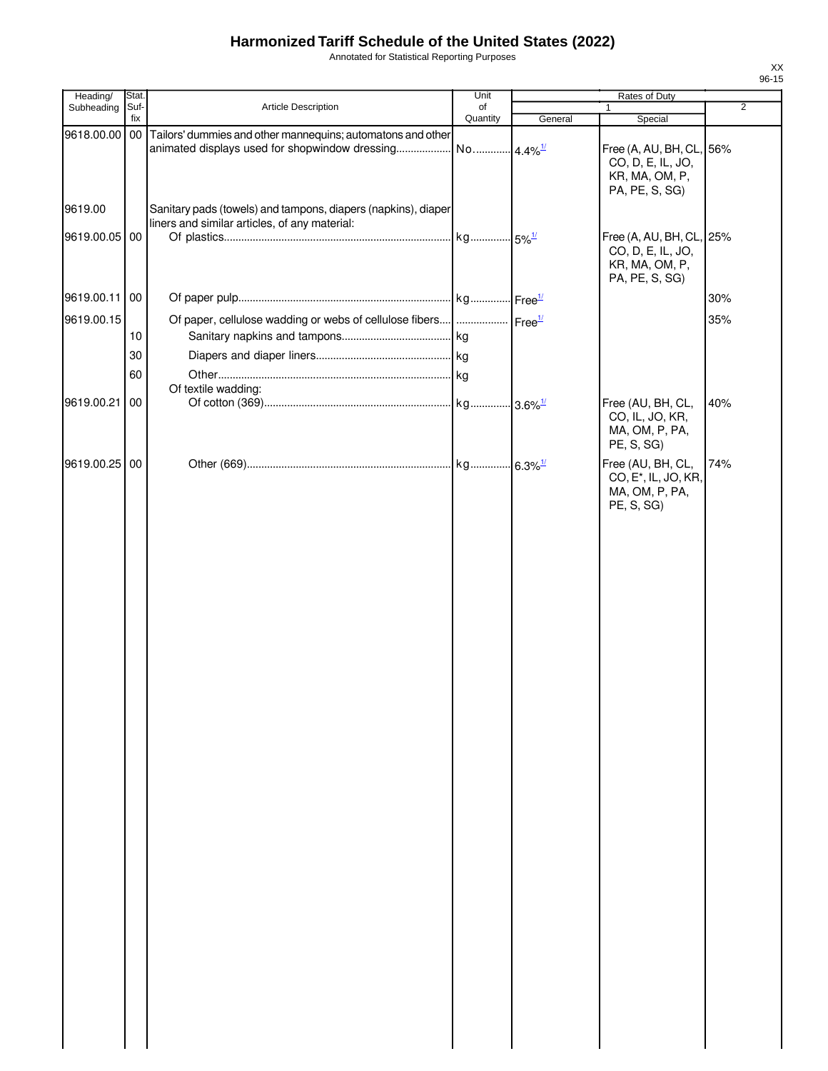Annotated for Statistical Reporting Purposes

| Heading/      | Stat.       |                                                                                                                  | Unit                   |         | Rates of Duty                                                                         |                |
|---------------|-------------|------------------------------------------------------------------------------------------------------------------|------------------------|---------|---------------------------------------------------------------------------------------|----------------|
| Subheading    | Suf-<br>fix | Article Description                                                                                              | of<br>Quantity         | General | 1<br>Special                                                                          | $\overline{2}$ |
| 9618.00.00    |             | 00 Tailors' dummies and other mannequins; automatons and other<br>animated displays used for shopwindow dressing | No 4.4% <sup>1/1</sup> |         | Free (A, AU, BH, CL, 56%<br>CO, D, E, IL, JO,<br>KR, MA, OM, P,<br>PA, PE, S, SG)     |                |
| 9619.00       |             | Sanitary pads (towels) and tampons, diapers (napkins), diaper                                                    |                        |         |                                                                                       |                |
|               |             | liners and similar articles, of any material:                                                                    |                        |         |                                                                                       |                |
| 9619.00.05 00 |             |                                                                                                                  |                        |         | Free (A, AU, BH, CL, 25%<br>CO, D, E, IL, JO,<br>KR, MA, OM, P,<br>PA, PE, S, SG)     |                |
| 9619.00.11    | 00          |                                                                                                                  |                        |         |                                                                                       | 30%            |
| 9619.00.15    |             | Of paper, cellulose wadding or webs of cellulose fibers      Free <sup>1/</sup>                                  |                        |         |                                                                                       | 35%            |
|               | 10          |                                                                                                                  | kg                     |         |                                                                                       |                |
|               | 30          |                                                                                                                  |                        |         |                                                                                       |                |
|               | 60          |                                                                                                                  |                        |         |                                                                                       |                |
|               |             | Of textile wadding:                                                                                              |                        |         |                                                                                       |                |
| 9619.00.21    | 00          |                                                                                                                  |                        |         | Free (AU, BH, CL,<br>CO, IL, JO, KR,<br>MA, OM, P, PA,<br>PE, S, SG)                  | 40%            |
| 9619.00.25 00 |             |                                                                                                                  |                        |         | Free (AU, BH, CL,<br>CO, E <sup>*</sup> , IL, JO, KR,<br>MA, OM, P, PA,<br>PE, S, SG) | 74%            |
|               |             |                                                                                                                  |                        |         |                                                                                       |                |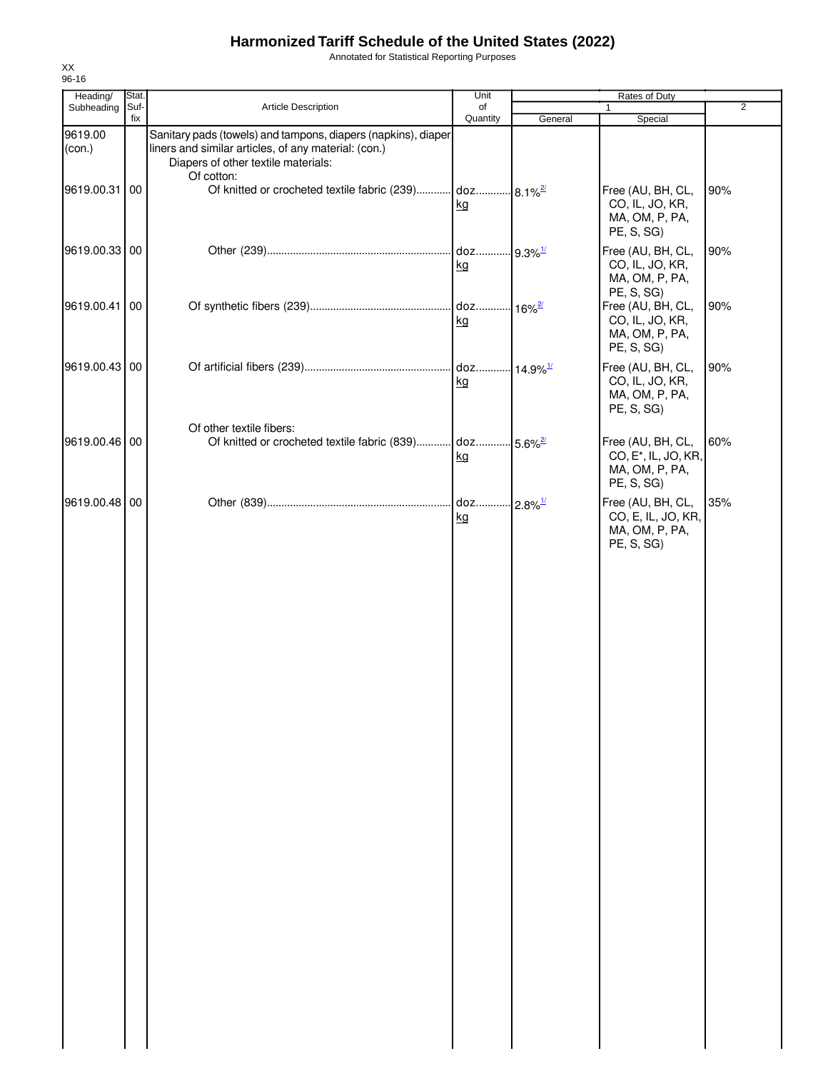Annotated for Statistical Reporting Purposes

| Heading/          | Stat.       |                                                                                                                                                                            | Unit           |                        | Rates of Duty                                                                         |                |
|-------------------|-------------|----------------------------------------------------------------------------------------------------------------------------------------------------------------------------|----------------|------------------------|---------------------------------------------------------------------------------------|----------------|
| Subheading        | Suf-<br>fix | Article Description                                                                                                                                                        | of<br>Quantity | General                | $\mathbf{1}$<br>Special                                                               | $\overline{2}$ |
| 9619.00<br>(con.) |             | Sanitary pads (towels) and tampons, diapers (napkins), diaper<br>liners and similar articles, of any material: (con.)<br>Diapers of other textile materials:<br>Of cotton: |                |                        |                                                                                       |                |
| 9619.00.31        | 00          | Of knitted or crocheted textile fabric (239) doz                                                                                                                           | kg             | $8.1\%$ <sup>2/</sup>  | Free (AU, BH, CL,<br>CO, IL, JO, KR,<br>MA, OM, P, PA,<br>PE, S, SG)                  | 90%            |
| 9619.00.33 00     |             |                                                                                                                                                                            | doz<br>kg      | $-9.3\%$ <sup>1/</sup> | Free (AU, BH, CL,<br>CO, IL, JO, KR,<br>MA, OM, P, PA,                                | 90%            |
| 9619.00.41        | 00          |                                                                                                                                                                            | doz<br>kg      | $16\%$ <sup>2/</sup>   | PE, S, SG)<br>Free (AU, BH, CL,<br>CO, IL, JO, KR,<br>MA, OM, P, PA,<br>PE, S, SG)    | 90%            |
| 9619.00.43 00     |             |                                                                                                                                                                            | kg             |                        | Free (AU, BH, CL,<br>CO, IL, JO, KR,<br>MA, OM, P, PA,                                | 90%            |
| 9619.00.46 00     |             | Of other textile fibers:<br>Of knitted or crocheted textile fabric (839) doz                                                                                               | kg             | $-5.6\%$ <sup>2/</sup> | PE, S, SG)<br>Free (AU, BH, CL,<br>CO, E <sup>*</sup> , IL, JO, KR,<br>MA, OM, P, PA, | 60%            |
| 9619.00.48 00     |             |                                                                                                                                                                            | doz<br>kg      | $-2.8\%$ <sup>1/</sup> | PE, S, SG)<br>Free (AU, BH, CL,<br>CO, E, IL, JO, KR,<br>MA, OM, P, PA,               | 35%            |
|                   |             |                                                                                                                                                                            |                |                        | PE, S, SG)                                                                            |                |
|                   |             |                                                                                                                                                                            |                |                        |                                                                                       |                |
|                   |             |                                                                                                                                                                            |                |                        |                                                                                       |                |
|                   |             |                                                                                                                                                                            |                |                        |                                                                                       |                |
|                   |             |                                                                                                                                                                            |                |                        |                                                                                       |                |
|                   |             |                                                                                                                                                                            |                |                        |                                                                                       |                |
|                   |             |                                                                                                                                                                            |                |                        |                                                                                       |                |
|                   |             |                                                                                                                                                                            |                |                        |                                                                                       |                |
|                   |             |                                                                                                                                                                            |                |                        |                                                                                       |                |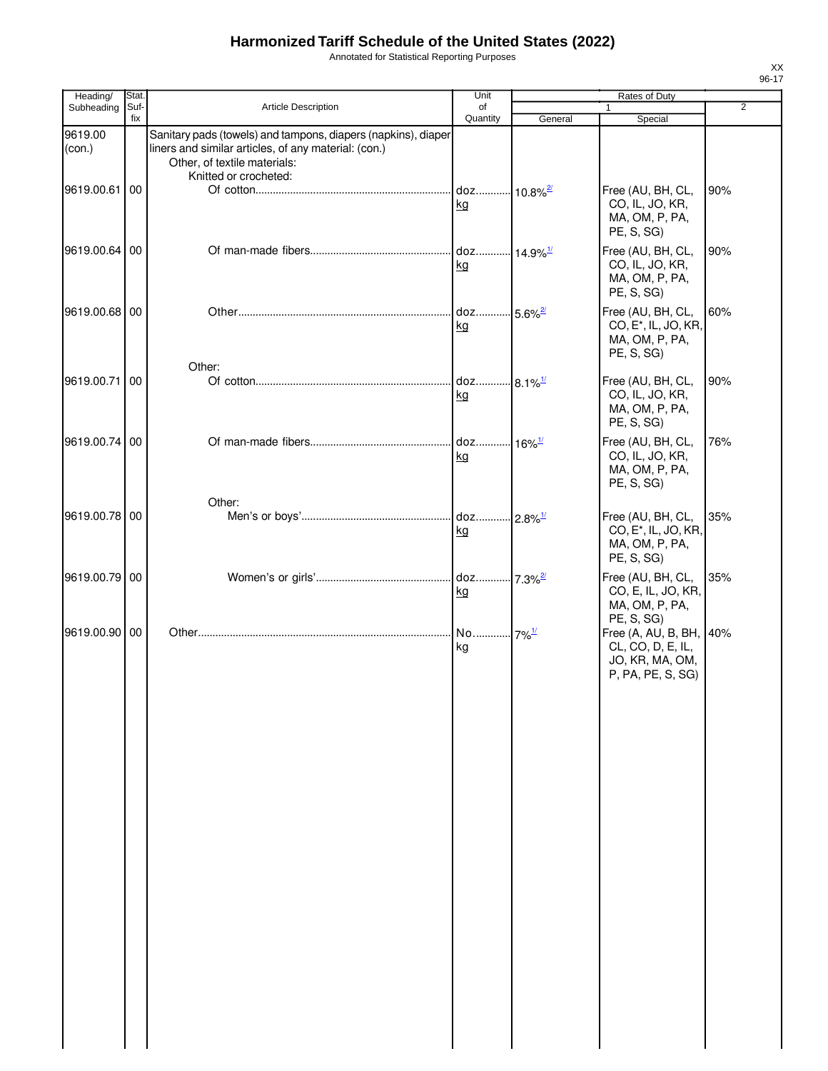Annotated for Statistical Reporting Purposes

| Heading/          | Stat. |                                                                                                                                                                                | Unit                          |                       | Rates of Duty                                                                         |                |
|-------------------|-------|--------------------------------------------------------------------------------------------------------------------------------------------------------------------------------|-------------------------------|-----------------------|---------------------------------------------------------------------------------------|----------------|
| Subheading        | Suf-  | <b>Article Description</b>                                                                                                                                                     | of                            |                       | 1                                                                                     | $\overline{2}$ |
|                   | fix   |                                                                                                                                                                                | Quantity                      | General               | Special                                                                               |                |
| 9619.00<br>(con.) |       | Sanitary pads (towels) and tampons, diapers (napkins), diaper<br>liners and similar articles, of any material: (con.)<br>Other, of textile materials:<br>Knitted or crocheted: |                               |                       |                                                                                       |                |
| 9619.00.61 00     |       |                                                                                                                                                                                | doz 10.8% <sup>2/</sup><br>kg |                       | Free (AU, BH, CL,<br>CO, IL, JO, KR,<br>MA, OM, P, PA,<br>PE, S, SG)                  | 90%            |
| 9619.00.64 00     |       |                                                                                                                                                                                | kg                            |                       | Free (AU, BH, CL,<br>CO, IL, JO, KR,<br>MA, OM, P, PA,<br>PE, S, SG)                  | 90%            |
| 9619.00.68 00     |       |                                                                                                                                                                                | doz<br>kg                     | $5.6\%$ <sup>2/</sup> | Free (AU, BH, CL,<br>CO, E <sup>*</sup> , IL, JO, KR,<br>MA, OM, P, PA,<br>PE, S, SG) | 60%            |
|                   |       | Other:                                                                                                                                                                         |                               |                       |                                                                                       |                |
| 9619.00.71        | 00    |                                                                                                                                                                                | doz 8.1% <sup>1/</sup><br>kg  |                       | Free (AU, BH, CL,<br>CO, IL, JO, KR,<br>MA, OM, P, PA,<br>PE, S, SG)                  | 90%            |
| 9619.00.74 00     |       |                                                                                                                                                                                | doz<br>kg                     | $-16\%$ <sup>1/</sup> | Free (AU, BH, CL,<br>CO, IL, JO, KR,<br>MA, OM, P, PA,<br>PE, S, SG)                  | 76%            |
|                   |       | Other:                                                                                                                                                                         |                               |                       |                                                                                       |                |
| 9619.00.78 00     |       |                                                                                                                                                                                | doz 2.8% <sup>1/</sup><br>kg  |                       | Free (AU, BH, CL,<br>CO, E <sup>*</sup> , IL, JO, KR,<br>MA, OM, P, PA,<br>PE, S, SG) | 35%            |
| 9619.00.79 00     |       |                                                                                                                                                                                | doz 7.3%2<br>kg               |                       | Free (AU, BH, CL,<br>CO, E, IL, JO, KR,<br>MA, OM, P, PA,<br>PE, S, SG)               | 35%            |
| 9619.00.90 00     |       |                                                                                                                                                                                | No 7% <sup>1/</sup><br>kg     |                       | Free (A, AU, B, BH, 40%<br>CL, CO, D, E, IL,<br>JO, KR, MA, OM,<br>P, PA, PE, S, SG)  |                |
|                   |       |                                                                                                                                                                                |                               |                       |                                                                                       |                |
|                   |       |                                                                                                                                                                                |                               |                       |                                                                                       |                |
|                   |       |                                                                                                                                                                                |                               |                       |                                                                                       |                |
|                   |       |                                                                                                                                                                                |                               |                       |                                                                                       |                |
|                   |       |                                                                                                                                                                                |                               |                       |                                                                                       |                |
|                   |       |                                                                                                                                                                                |                               |                       |                                                                                       |                |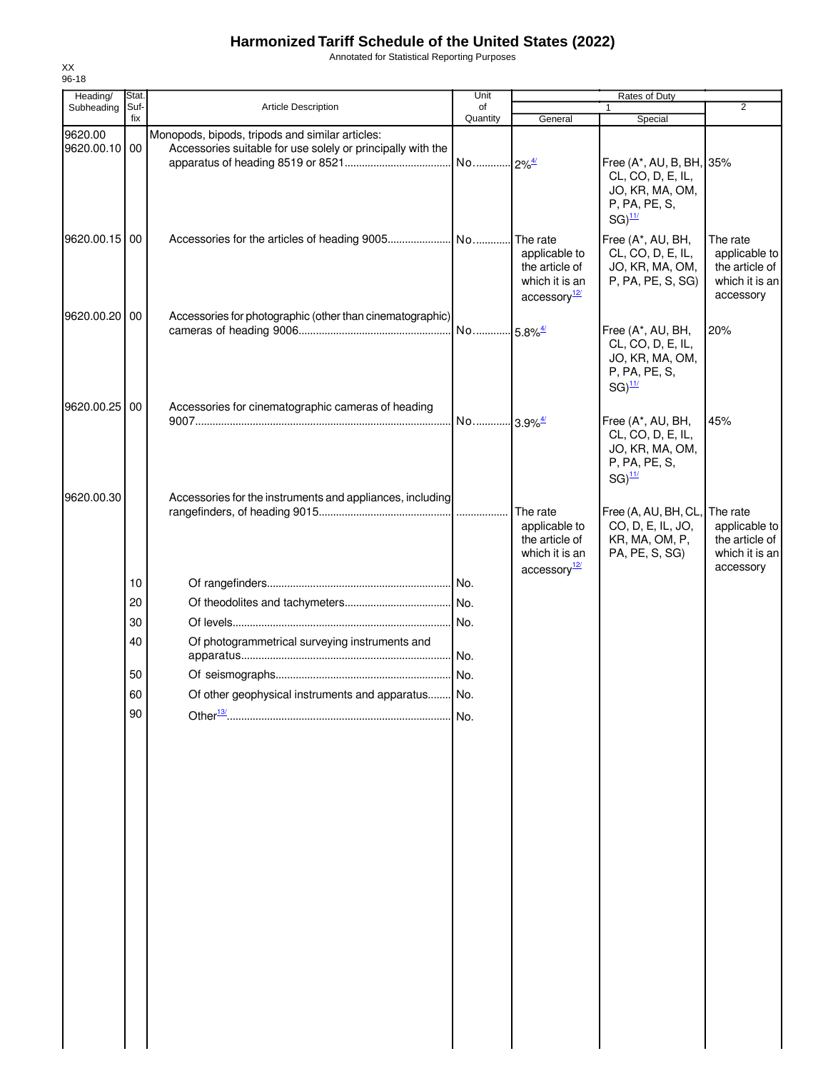Annotated for Statistical Reporting Purposes

| Heading/                 | Stat.       |                                                                                                                | Unit                  |                                                                                           | Rates of Duty                                                                                             |                                                                            |
|--------------------------|-------------|----------------------------------------------------------------------------------------------------------------|-----------------------|-------------------------------------------------------------------------------------------|-----------------------------------------------------------------------------------------------------------|----------------------------------------------------------------------------|
| Subheading               | Suf-<br>fix | Article Description                                                                                            | of<br>Quantity        | General                                                                                   | 1<br>Special                                                                                              | $\overline{2}$                                                             |
| 9620.00<br>9620.00.10 00 |             | Monopods, bipods, tripods and similar articles:<br>Accessories suitable for use solely or principally with the | No 2% <sup>4/</sup>   |                                                                                           | Free (A*, AU, B, BH, 35%<br>CL, CO, D, E, IL,<br>JO, KR, MA, OM,<br>P, PA, PE, S,<br>$SG)$ <sup>11/</sup> |                                                                            |
| 9620.00.15 00            |             |                                                                                                                |                       | The rate<br>applicable to<br>the article of<br>which it is an<br>accessory <sup>12/</sup> | Free (A*, AU, BH,<br>CL, CO, D, E, IL,<br>JO, KR, MA, OM,<br>P, PA, PE, S, SG)                            | The rate<br>applicable to<br>the article of<br>which it is an<br>accessory |
| 9620.00.20 00            |             | Accessories for photographic (other than cinematographic)                                                      |                       |                                                                                           | Free (A*, AU, BH,<br>CL, CO, D, E, IL,<br>JO, KR, MA, OM,<br>P, PA, PE, S,<br>$SG)^{11/2}$                | 20%                                                                        |
| 9620.00.25 00            |             | Accessories for cinematographic cameras of heading                                                             | No 3.9% <sup>4/</sup> |                                                                                           | Free (A*, AU, BH,<br>CL, CO, D, E, IL,<br>JO, KR, MA, OM,<br>P, PA, PE, S,<br>$SG)$ <sup>11/</sup>        | 45%                                                                        |
| 9620.00.30               |             | Accessories for the instruments and appliances, including                                                      |                       | The rate<br>applicable to<br>the article of<br>which it is an<br>accessory <sup>12/</sup> | Free (A, AU, BH, CL,<br>CO, D, E, IL, JO,<br>KR, MA, OM, P,<br>PA, PE, S, SG)                             | The rate<br>applicable to<br>the article of<br>which it is an<br>accessory |
|                          | 10          |                                                                                                                |                       |                                                                                           |                                                                                                           |                                                                            |
|                          | 20          |                                                                                                                |                       |                                                                                           |                                                                                                           |                                                                            |
|                          | 30          |                                                                                                                | No.                   |                                                                                           |                                                                                                           |                                                                            |
|                          | 40          | Of photogrammetrical surveying instruments and                                                                 |                       |                                                                                           |                                                                                                           |                                                                            |
|                          |             |                                                                                                                |                       |                                                                                           |                                                                                                           |                                                                            |
|                          | 50          |                                                                                                                | No.                   |                                                                                           |                                                                                                           |                                                                            |
|                          | 60<br>90    | Of other geophysical instruments and apparatus                                                                 | No<br>No.             |                                                                                           |                                                                                                           |                                                                            |
|                          |             |                                                                                                                |                       |                                                                                           |                                                                                                           |                                                                            |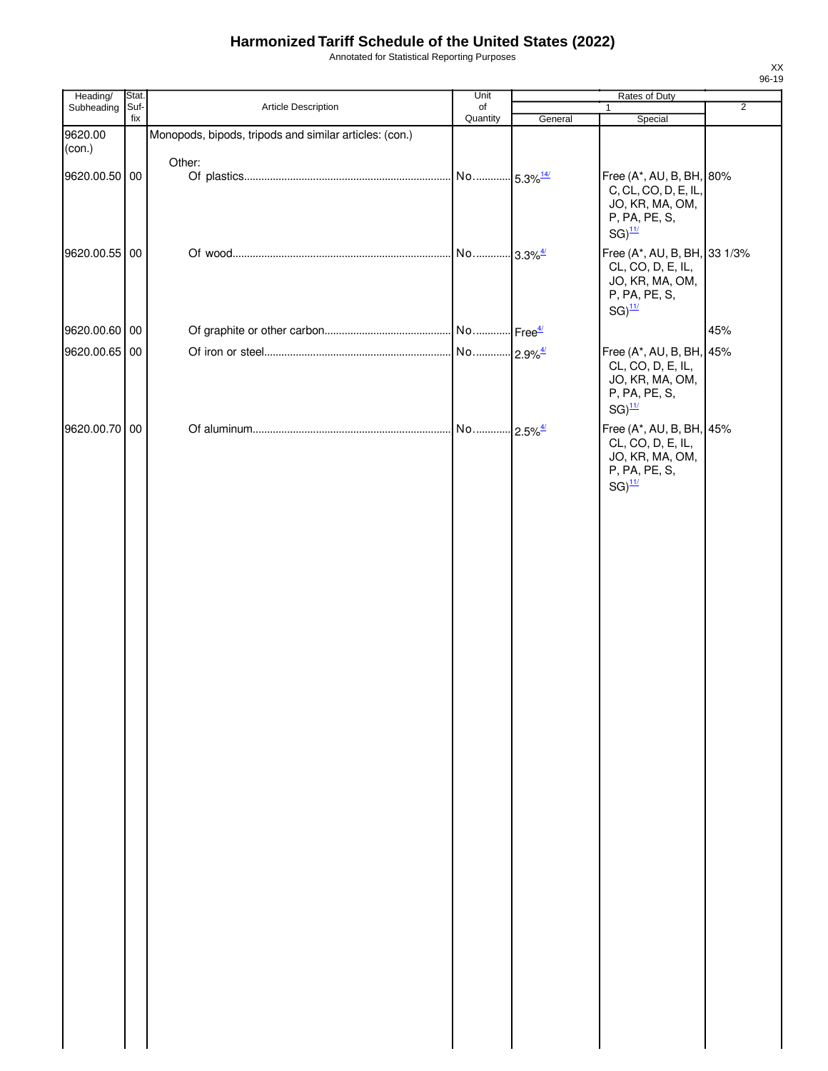Annotated for Statistical Reporting Purposes

| Heading/          | Stat. |                                                        | Unit                   | Rates of Duty |                                                                                                               |                |
|-------------------|-------|--------------------------------------------------------|------------------------|---------------|---------------------------------------------------------------------------------------------------------------|----------------|
| Subheading        | Suf-  | Article Description                                    | of                     |               | $\mathbf{1}$                                                                                                  | $\overline{2}$ |
| 9620.00<br>(con.) | fix   | Monopods, bipods, tripods and similar articles: (con.) | Quantity               | General       | Special                                                                                                       |                |
| 9620.00.50 00     |       | Other:                                                 | No 5.3% <sup>14/</sup> |               | Free (A*, AU, B, BH, 80%<br>C, CL, CO, D, E, IL,<br>JO, KR, MA, OM,<br>P, PA, PE, S,<br>$SG)^{11/2}$          |                |
| 9620.00.55 00     |       |                                                        |                        |               | Free (A*, AU, B, BH, 33 1/3%<br>CL, CO, D, E, IL,<br>JO, KR, MA, OM,<br>P, PA, PE, S,<br>$SG)$ <sup>11/</sup> |                |
| 9620.00.60 00     |       |                                                        |                        |               |                                                                                                               | 45%            |
| 9620.00.65 00     |       |                                                        |                        |               | Free (A*, AU, B, BH, 45%<br>CL, CO, D, E, IL,<br>JO, KR, MA, OM,<br>P, PA, PE, S,<br>$SG)$ <sup>11/</sup>     |                |
| 9620.00.70 00     |       |                                                        | No 2.5% <sup>4/</sup>  |               | Free (A*, AU, B, BH, 45%<br>CL, CO, D, E, IL,<br>JO, KR, MA, OM,<br>P, PA, PE, S,<br>$SG)^{11/2}$             |                |